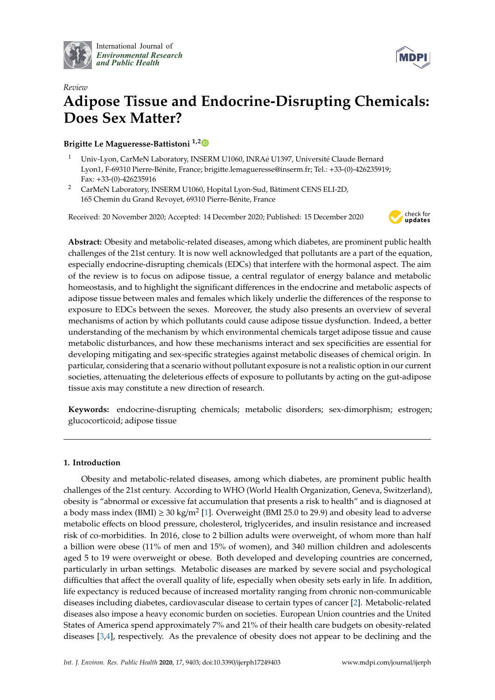

International Journal of *[Environmental Research](http://www.mdpi.com/journal/ijerph) and Public Health*



# *Review* **Adipose Tissue and Endocrine-Disrupting Chemicals: Does Sex Matter?**

**Brigitte Le Magueresse-Battistoni 1,[2](https://orcid.org/0000-0002-7247-4403)**

- <sup>1</sup> Univ-Lyon, CarMeN Laboratory, INSERM U1060, INRAé U1397, Université Claude Bernard Lyon1, F-69310 Pierre-Bénite, France; brigitte.lemagueresse@inserm.fr; Tel.: +33-(0)-426235919; Fax: +33-(0)-426235916
- <sup>2</sup> CarMeN Laboratory, INSERM U1060, Hopital Lyon-Sud, Bâtiment CENS ELI-2D, 165 Chemin du Grand Revoyet, 69310 Pierre-Bénite, France

Received: 20 November 2020; Accepted: 14 December 2020; Published: 15 December 2020



**Abstract:** Obesity and metabolic-related diseases, among which diabetes, are prominent public health challenges of the 21st century. It is now well acknowledged that pollutants are a part of the equation, especially endocrine-disrupting chemicals (EDCs) that interfere with the hormonal aspect. The aim of the review is to focus on adipose tissue, a central regulator of energy balance and metabolic homeostasis, and to highlight the significant differences in the endocrine and metabolic aspects of adipose tissue between males and females which likely underlie the differences of the response to exposure to EDCs between the sexes. Moreover, the study also presents an overview of several mechanisms of action by which pollutants could cause adipose tissue dysfunction. Indeed, a better understanding of the mechanism by which environmental chemicals target adipose tissue and cause metabolic disturbances, and how these mechanisms interact and sex specificities are essential for developing mitigating and sex-specific strategies against metabolic diseases of chemical origin. In particular, considering that a scenario without pollutant exposure is not a realistic option in our current societies, attenuating the deleterious effects of exposure to pollutants by acting on the gut-adipose tissue axis may constitute a new direction of research.

**Keywords:** endocrine-disrupting chemicals; metabolic disorders; sex-dimorphism; estrogen; glucocorticoid; adipose tissue

# **1. Introduction**

Obesity and metabolic-related diseases, among which diabetes, are prominent public health challenges of the 21st century. According to WHO (World Health Organization, Geneva, Switzerland), obesity is "abnormal or excessive fat accumulation that presents a risk to health" and is diagnosed at a body mass index (BMI)  $\geq 30$  kg/m<sup>2</sup> [\[1\]](#page-18-0). Overweight (BMI 25.0 to 29.9) and obesity lead to adverse metabolic effects on blood pressure, cholesterol, triglycerides, and insulin resistance and increased risk of co-morbidities. In 2016, close to 2 billion adults were overweight, of whom more than half a billion were obese (11% of men and 15% of women), and 340 million children and adolescents aged 5 to 19 were overweight or obese. Both developed and developing countries are concerned, particularly in urban settings. Metabolic diseases are marked by severe social and psychological difficulties that affect the overall quality of life, especially when obesity sets early in life. In addition, life expectancy is reduced because of increased mortality ranging from chronic non-communicable diseases including diabetes, cardiovascular disease to certain types of cancer [\[2\]](#page-18-1). Metabolic-related diseases also impose a heavy economic burden on societies. European Union countries and the United States of America spend approximately 7% and 21% of their health care budgets on obesity-related diseases [\[3,](#page-18-2)[4\]](#page-18-3), respectively. As the prevalence of obesity does not appear to be declining and the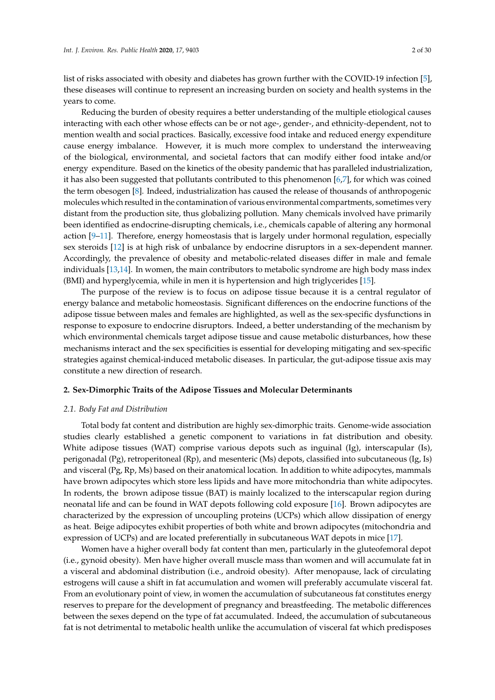list of risks associated with obesity and diabetes has grown further with the COVID-19 infection [\[5\]](#page-18-4), these diseases will continue to represent an increasing burden on society and health systems in the years to come.

Reducing the burden of obesity requires a better understanding of the multiple etiological causes interacting with each other whose effects can be or not age-, gender-, and ethnicity-dependent, not to mention wealth and social practices. Basically, excessive food intake and reduced energy expenditure cause energy imbalance. However, it is much more complex to understand the interweaving of the biological, environmental, and societal factors that can modify either food intake and/or energy expenditure. Based on the kinetics of the obesity pandemic that has paralleled industrialization, it has also been suggested that pollutants contributed to this phenomenon [\[6,](#page-18-5)[7\]](#page-18-6), for which was coined the term obesogen [\[8\]](#page-18-7). Indeed, industrialization has caused the release of thousands of anthropogenic molecules which resulted in the contamination of various environmental compartments, sometimes very distant from the production site, thus globalizing pollution. Many chemicals involved have primarily been identified as endocrine-disrupting chemicals, i.e., chemicals capable of altering any hormonal action [\[9](#page-18-8)[–11\]](#page-19-0). Therefore, energy homeostasis that is largely under hormonal regulation, especially sex steroids [\[12\]](#page-19-1) is at high risk of unbalance by endocrine disruptors in a sex-dependent manner. Accordingly, the prevalence of obesity and metabolic-related diseases differ in male and female individuals [\[13,](#page-19-2)[14\]](#page-19-3). In women, the main contributors to metabolic syndrome are high body mass index (BMI) and hyperglycemia, while in men it is hypertension and high triglycerides [\[15\]](#page-19-4).

The purpose of the review is to focus on adipose tissue because it is a central regulator of energy balance and metabolic homeostasis. Significant differences on the endocrine functions of the adipose tissue between males and females are highlighted, as well as the sex-specific dysfunctions in response to exposure to endocrine disruptors. Indeed, a better understanding of the mechanism by which environmental chemicals target adipose tissue and cause metabolic disturbances, how these mechanisms interact and the sex specificities is essential for developing mitigating and sex-specific strategies against chemical-induced metabolic diseases. In particular, the gut-adipose tissue axis may constitute a new direction of research.

### **2. Sex-Dimorphic Traits of the Adipose Tissues and Molecular Determinants**

### *2.1. Body Fat and Distribution*

Total body fat content and distribution are highly sex-dimorphic traits. Genome-wide association studies clearly established a genetic component to variations in fat distribution and obesity. White adipose tissues (WAT) comprise various depots such as inguinal (Ig), interscapular (Is), perigonadal (Pg), retroperitoneal (Rp), and mesenteric (Ms) depots, classified into subcutaneous (Ig, Is) and visceral (Pg, Rp, Ms) based on their anatomical location. In addition to white adipocytes, mammals have brown adipocytes which store less lipids and have more mitochondria than white adipocytes. In rodents, the brown adipose tissue (BAT) is mainly localized to the interscapular region during neonatal life and can be found in WAT depots following cold exposure [\[16\]](#page-19-5). Brown adipocytes are characterized by the expression of uncoupling proteins (UCPs) which allow dissipation of energy as heat. Beige adipocytes exhibit properties of both white and brown adipocytes (mitochondria and expression of UCPs) and are located preferentially in subcutaneous WAT depots in mice [\[17\]](#page-19-6).

Women have a higher overall body fat content than men, particularly in the gluteofemoral depot (i.e., gynoid obesity). Men have higher overall muscle mass than women and will accumulate fat in a visceral and abdominal distribution (i.e., android obesity). After menopause, lack of circulating estrogens will cause a shift in fat accumulation and women will preferably accumulate visceral fat. From an evolutionary point of view, in women the accumulation of subcutaneous fat constitutes energy reserves to prepare for the development of pregnancy and breastfeeding. The metabolic differences between the sexes depend on the type of fat accumulated. Indeed, the accumulation of subcutaneous fat is not detrimental to metabolic health unlike the accumulation of visceral fat which predisposes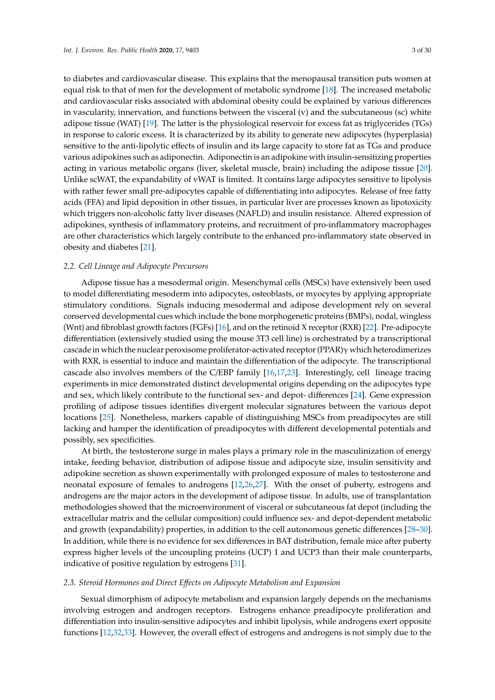to diabetes and cardiovascular disease. This explains that the menopausal transition puts women at equal risk to that of men for the development of metabolic syndrome [\[18\]](#page-19-7). The increased metabolic and cardiovascular risks associated with abdominal obesity could be explained by various differences in vascularity, innervation, and functions between the visceral  $(v)$  and the subcutaneous  $(sc)$  white adipose tissue (WAT) [\[19\]](#page-19-8). The latter is the physiological reservoir for excess fat as triglycerides (TGs) in response to caloric excess. It is characterized by its ability to generate new adipocytes (hyperplasia) sensitive to the anti-lipolytic effects of insulin and its large capacity to store fat as TGs and produce various adipokines such as adiponectin. Adiponectin is an adipokine with insulin-sensitizing properties acting in various metabolic organs (liver, skeletal muscle, brain) including the adipose tissue [\[20\]](#page-19-9). Unlike scWAT, the expandability of vWAT is limited. It contains large adipocytes sensitive to lipolysis with rather fewer small pre-adipocytes capable of differentiating into adipocytes. Release of free fatty acids (FFA) and lipid deposition in other tissues, in particular liver are processes known as lipotoxicity which triggers non-alcoholic fatty liver diseases (NAFLD) and insulin resistance. Altered expression of adipokines, synthesis of inflammatory proteins, and recruitment of pro-inflammatory macrophages are other characteristics which largely contribute to the enhanced pro-inflammatory state observed in obesity and diabetes [\[21\]](#page-19-10).

### *2.2. Cell Lineage and Adipocyte Precursors*

Adipose tissue has a mesodermal origin. Mesenchymal cells (MSCs) have extensively been used to model differentiating mesoderm into adipocytes, osteoblasts, or myocytes by applying appropriate stimulatory conditions. Signals inducing mesodermal and adipose development rely on several conserved developmental cues which include the bone morphogenetic proteins (BMPs), nodal, wingless (Wnt) and fibroblast growth factors (FGFs) [\[16\]](#page-19-5), and on the retinoid X receptor (RXR) [\[22\]](#page-19-11). Pre-adipocyte differentiation (extensively studied using the mouse 3T3 cell line) is orchestrated by a transcriptional cascade in which the nuclear peroxisome proliferator-activated receptor (PPAR)γ which heterodimerizes with RXR, is essential to induce and maintain the differentiation of the adipocyte. The transcriptional cascade also involves members of the C/EBP family [\[16,](#page-19-5)[17](#page-19-6)[,23\]](#page-19-12). Interestingly, cell lineage tracing experiments in mice demonstrated distinct developmental origins depending on the adipocytes type and sex, which likely contribute to the functional sex- and depot- differences [\[24\]](#page-19-13). Gene expression profiling of adipose tissues identifies divergent molecular signatures between the various depot locations [\[25\]](#page-19-14). Nonetheless, markers capable of distinguishing MSCs from preadipocytes are still lacking and hamper the identification of preadipocytes with different developmental potentials and possibly, sex specificities.

At birth, the testosterone surge in males plays a primary role in the masculinization of energy intake, feeding behavior, distribution of adipose tissue and adipocyte size, insulin sensitivity and adipokine secretion as shown experimentally with prolonged exposure of males to testosterone and neonatal exposure of females to androgens [\[12](#page-19-1)[,26,](#page-19-15)[27\]](#page-19-16). With the onset of puberty, estrogens and androgens are the major actors in the development of adipose tissue. In adults, use of transplantation methodologies showed that the microenvironment of visceral or subcutaneous fat depot (including the extracellular matrix and the cellular composition) could influence sex- and depot-dependent metabolic and growth (expandability) properties, in addition to the cell autonomous genetic differences [\[28–](#page-19-17)[30\]](#page-19-18). In addition, while there is no evidence for sex differences in BAT distribution, female mice after puberty express higher levels of the uncoupling proteins (UCP) 1 and UCP3 than their male counterparts, indicative of positive regulation by estrogens [\[31\]](#page-19-19).

### *2.3. Steroid Hormones and Direct E*ff*ects on Adipocyte Metabolism and Expansion*

Sexual dimorphism of adipocyte metabolism and expansion largely depends on the mechanisms involving estrogen and androgen receptors. Estrogens enhance preadipocyte proliferation and differentiation into insulin-sensitive adipocytes and inhibit lipolysis, while androgens exert opposite functions [\[12](#page-19-1)[,32](#page-19-20)[,33\]](#page-19-21). However, the overall effect of estrogens and androgens is not simply due to the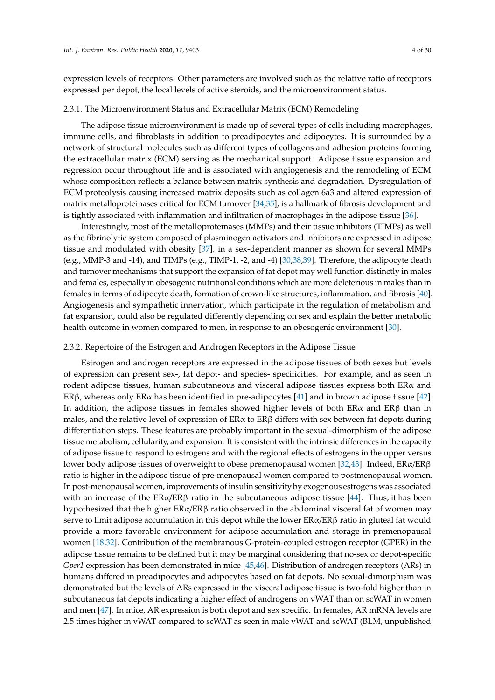expression levels of receptors. Other parameters are involved such as the relative ratio of receptors expressed per depot, the local levels of active steroids, and the microenvironment status.

### 2.3.1. The Microenvironment Status and Extracellular Matrix (ECM) Remodeling

The adipose tissue microenvironment is made up of several types of cells including macrophages, immune cells, and fibroblasts in addition to preadipocytes and adipocytes. It is surrounded by a network of structural molecules such as different types of collagens and adhesion proteins forming the extracellular matrix (ECM) serving as the mechanical support. Adipose tissue expansion and regression occur throughout life and is associated with angiogenesis and the remodeling of ECM whose composition reflects a balance between matrix synthesis and degradation. Dysregulation of ECM proteolysis causing increased matrix deposits such as collagen 6a3 and altered expression of matrix metalloproteinases critical for ECM turnover [\[34,](#page-20-0)[35\]](#page-20-1), is a hallmark of fibrosis development and is tightly associated with inflammation and infiltration of macrophages in the adipose tissue [\[36\]](#page-20-2).

Interestingly, most of the metalloproteinases (MMPs) and their tissue inhibitors (TIMPs) as well as the fibrinolytic system composed of plasminogen activators and inhibitors are expressed in adipose tissue and modulated with obesity [\[37\]](#page-20-3), in a sex-dependent manner as shown for several MMPs (e.g., MMP-3 and -14), and TIMPs (e.g., TIMP-1, -2, and -4) [\[30,](#page-19-18)[38,](#page-20-4)[39\]](#page-20-5). Therefore, the adipocyte death and turnover mechanisms that support the expansion of fat depot may well function distinctly in males and females, especially in obesogenic nutritional conditions which are more deleterious in males than in females in terms of adipocyte death, formation of crown-like structures, inflammation, and fibrosis [\[40\]](#page-20-6). Angiogenesis and sympathetic innervation, which participate in the regulation of metabolism and fat expansion, could also be regulated differently depending on sex and explain the better metabolic health outcome in women compared to men, in response to an obesogenic environment [\[30\]](#page-19-18).

### 2.3.2. Repertoire of the Estrogen and Androgen Receptors in the Adipose Tissue

Estrogen and androgen receptors are expressed in the adipose tissues of both sexes but levels of expression can present sex-, fat depot- and species- specificities. For example, and as seen in rodent adipose tissues, human subcutaneous and visceral adipose tissues express both ERα and ERβ, whereas only ER $\alpha$  has been identified in pre-adipocytes [\[41\]](#page-20-7) and in brown adipose tissue [\[42\]](#page-20-8). In addition, the adipose tissues in females showed higher levels of both  $ER\alpha$  and  $ER\beta$  than in males, and the relative level of expression of  $ER\alpha$  to  $ER\beta$  differs with sex between fat depots during differentiation steps. These features are probably important in the sexual-dimorphism of the adipose tissue metabolism, cellularity, and expansion. It is consistent with the intrinsic differences in the capacity of adipose tissue to respond to estrogens and with the regional effects of estrogens in the upper versus lower body adipose tissues of overweight to obese premenopausal women [\[32](#page-19-20)[,43\]](#page-20-9). Indeed,  $ER\alpha/ER\beta$ ratio is higher in the adipose tissue of pre-menopausal women compared to postmenopausal women. In post-menopausal women, improvements of insulin sensitivity by exogenous estrogens was associated with an increase of the  $ER\alpha/ER\beta$  ratio in the subcutaneous adipose tissue [\[44\]](#page-20-10). Thus, it has been hypothesized that the higher  $ER\alpha/ER\beta$  ratio observed in the abdominal visceral fat of women may serve to limit adipose accumulation in this depot while the lower  $ER\alpha/ER\beta$  ratio in gluteal fat would provide a more favorable environment for adipose accumulation and storage in premenopausal women [\[18,](#page-19-7)[32\]](#page-19-20). Contribution of the membranous G-protein-coupled estrogen receptor (GPER) in the adipose tissue remains to be defined but it may be marginal considering that no-sex or depot-specific *Gper1* expression has been demonstrated in mice [\[45](#page-20-11)[,46\]](#page-20-12). Distribution of androgen receptors (ARs) in humans differed in preadipocytes and adipocytes based on fat depots. No sexual-dimorphism was demonstrated but the levels of ARs expressed in the visceral adipose tissue is two-fold higher than in subcutaneous fat depots indicating a higher effect of androgens on vWAT than on scWAT in women and men [\[47\]](#page-20-13). In mice, AR expression is both depot and sex specific. In females, AR mRNA levels are 2.5 times higher in vWAT compared to scWAT as seen in male vWAT and scWAT (BLM, unpublished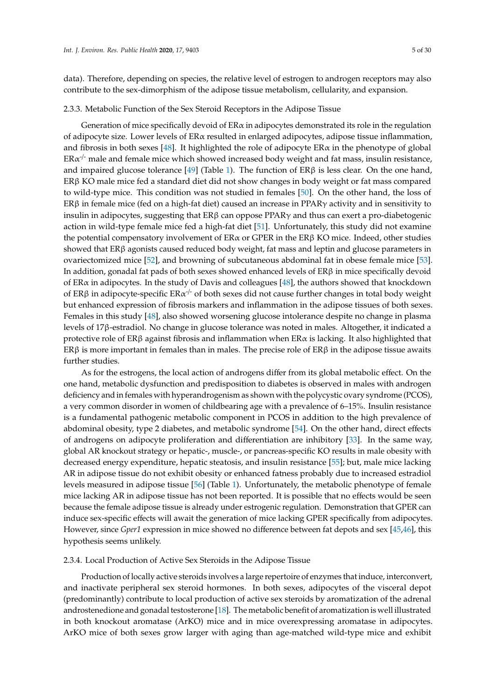<span id="page-4-0"></span>data). Therefore, depending on species, the relative level of estrogen to androgen receptors may also contribute to the sex-dimorphism of the adipose tissue metabolism, cellularity, and expansion.

### 2.3.3. Metabolic Function of the Sex Steroid Receptors in the Adipose Tissue

Generation of mice specifically devoid of  $ER\alpha$  in adipocytes demonstrated its role in the regulation of adipocyte size. Lower levels of ERα resulted in enlarged adipocytes, adipose tissue inflammation, and fibrosis in both sexes [\[48\]](#page-20-14). It highlighted the role of adipocyte  $ER\alpha$  in the phenotype of global  $ER\alpha^{-/-}$  male and female mice which showed increased body weight and fat mass, insulin resistance, and impaired glucose tolerance [\[49\]](#page-20-15) (Table [1\)](#page-7-0). The function of  $ER\beta$  is less clear. On the one hand, ERβ KO male mice fed a standard diet did not show changes in body weight or fat mass compared to wild-type mice. This condition was not studied in females [\[50\]](#page-20-16). On the other hand, the loss of ERβ in female mice (fed on a high-fat diet) caused an increase in PPARγ activity and in sensitivity to insulin in adipocytes, suggesting that ERβ can oppose PPARγ and thus can exert a pro-diabetogenic action in wild-type female mice fed a high-fat diet [\[51\]](#page-20-17). Unfortunately, this study did not examine the potential compensatory involvement of  $ER\alpha$  or GPER in the  $ER\beta$  KO mice. Indeed, other studies showed that ERβ agonists caused reduced body weight, fat mass and leptin and glucose parameters in ovariectomized mice [\[52\]](#page-20-18), and browning of subcutaneous abdominal fat in obese female mice [\[53\]](#page-21-0). In addition, gonadal fat pads of both sexes showed enhanced levels of  $ER\beta$  in mice specifically devoid of ER $\alpha$  in adipocytes. In the study of Davis and colleagues [\[48\]](#page-20-14), the authors showed that knockdown of ERβ in adipocyte-specific ER $\alpha^{-/-}$  of both sexes did not cause further changes in total body weight but enhanced expression of fibrosis markers and inflammation in the adipose tissues of both sexes. Females in this study [\[48\]](#page-20-14), also showed worsening glucose intolerance despite no change in plasma levels of 17β-estradiol. No change in glucose tolerance was noted in males. Altogether, it indicated a protective role of ERβ against fibrosis and inflammation when ERα is lacking. It also highlighted that ERβ is more important in females than in males. The precise role of  $ERβ$  in the adipose tissue awaits further studies.

<span id="page-4-1"></span>As for the estrogens, the local action of androgens differ from its global metabolic effect. On the one hand, metabolic dysfunction and predisposition to diabetes is observed in males with androgen deficiency and in females with hyperandrogenism as shown with the polycystic ovary syndrome (PCOS), a very common disorder in women of childbearing age with a prevalence of 6–15%. Insulin resistance is a fundamental pathogenic metabolic component in PCOS in addition to the high prevalence of abdominal obesity, type 2 diabetes, and metabolic syndrome [\[54\]](#page-21-1). On the other hand, direct effects of androgens on adipocyte proliferation and differentiation are inhibitory [\[33\]](#page-19-21). In the same way, global AR knockout strategy or hepatic-, muscle-, or pancreas-specific KO results in male obesity with decreased energy expenditure, hepatic steatosis, and insulin resistance [\[55\]](#page-21-2); but, male mice lacking AR in adipose tissue do not exhibit obesity or enhanced fatness probably due to increased estradiol levels measured in adipose tissue [\[56\]](#page-21-3) (Table [1\)](#page-7-0). Unfortunately, the metabolic phenotype of female mice lacking AR in adipose tissue has not been reported. It is possible that no effects would be seen because the female adipose tissue is already under estrogenic regulation. Demonstration that GPER can induce sex-specific effects will await the generation of mice lacking GPER specifically from adipocytes. However, since *Gper1* expression in mice showed no difference between fat depots and sex [\[45](#page-20-11)[,46\]](#page-20-12), this hypothesis seems unlikely.

### 2.3.4. Local Production of Active Sex Steroids in the Adipose Tissue

Production of locally active steroids involves a large repertoire of enzymes that induce, interconvert, and inactivate peripheral sex steroid hormones. In both sexes, adipocytes of the visceral depot (predominantly) contribute to local production of active sex steroids by aromatization of the adrenal androstenedione and gonadal testosterone [\[18\]](#page-19-7). The metabolic benefit of aromatization is well illustrated in both knockout aromatase (ArKO) mice and in mice overexpressing aromatase in adipocytes. ArKO mice of both sexes grow larger with aging than age-matched wild-type mice and exhibit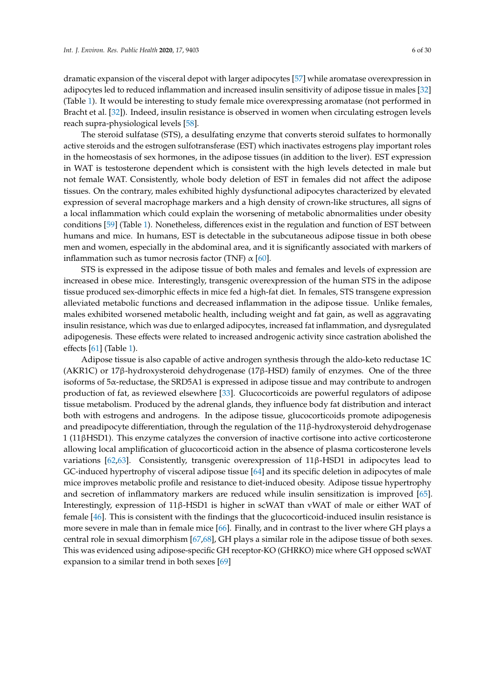dramatic expansion of the visceral depot with larger adipocytes [\[57\]](#page-21-4) while aromatase overexpression in adipocytes led to reduced inflammation and increased insulin sensitivity of adipose tissue in males [\[32\]](#page-19-20) (Table [1\)](#page-7-0). It would be interesting to study female mice overexpressing aromatase (not performed in Bracht et al. [\[32\]](#page-19-20)). Indeed, insulin resistance is observed in women when circulating estrogen levels reach supra-physiological levels [\[58\]](#page-21-5).

The steroid sulfatase (STS), a desulfating enzyme that converts steroid sulfates to hormonally active steroids and the estrogen sulfotransferase (EST) which inactivates estrogens play important roles in the homeostasis of sex hormones, in the adipose tissues (in addition to the liver). EST expression in WAT is testosterone dependent which is consistent with the high levels detected in male but not female WAT. Consistently, whole body deletion of EST in females did not affect the adipose tissues. On the contrary, males exhibited highly dysfunctional adipocytes characterized by elevated expression of several macrophage markers and a high density of crown-like structures, all signs of a local inflammation which could explain the worsening of metabolic abnormalities under obesity conditions [\[59\]](#page-21-6) (Table [1\)](#page-7-0). Nonetheless, differences exist in the regulation and function of EST between humans and mice. In humans, EST is detectable in the subcutaneous adipose tissue in both obese men and women, especially in the abdominal area, and it is significantly associated with markers of inflammation such as tumor necrosis factor (TNF)  $\alpha$  [\[60\]](#page-21-7).

STS is expressed in the adipose tissue of both males and females and levels of expression are increased in obese mice. Interestingly, transgenic overexpression of the human STS in the adipose tissue produced sex-dimorphic effects in mice fed a high-fat diet. In females, STS transgene expression alleviated metabolic functions and decreased inflammation in the adipose tissue. Unlike females, males exhibited worsened metabolic health, including weight and fat gain, as well as aggravating insulin resistance, which was due to enlarged adipocytes, increased fat inflammation, and dysregulated adipogenesis. These effects were related to increased androgenic activity since castration abolished the effects [\[61\]](#page-21-8) (Table [1\)](#page-7-0).

Adipose tissue is also capable of active androgen synthesis through the aldo-keto reductase 1C (AKR1C) or 17β-hydroxysteroid dehydrogenase (17β-HSD) family of enzymes. One of the three isoforms of 5α-reductase, the SRD5A1 is expressed in adipose tissue and may contribute to androgen production of fat, as reviewed elsewhere [\[33\]](#page-19-21). Glucocorticoids are powerful regulators of adipose tissue metabolism. Produced by the adrenal glands, they influence body fat distribution and interact both with estrogens and androgens. In the adipose tissue, glucocorticoids promote adipogenesis and preadipocyte differentiation, through the regulation of the 11β-hydroxysteroid dehydrogenase 1 (11βHSD1). This enzyme catalyzes the conversion of inactive cortisone into active corticosterone allowing local amplification of glucocorticoid action in the absence of plasma corticosterone levels variations [\[62,](#page-21-9)[63\]](#page-21-10). Consistently, transgenic overexpression of 11β-HSD1 in adipocytes lead to GC-induced hypertrophy of visceral adipose tissue [\[64\]](#page-21-11) and its specific deletion in adipocytes of male mice improves metabolic profile and resistance to diet-induced obesity. Adipose tissue hypertrophy and secretion of inflammatory markers are reduced while insulin sensitization is improved [\[65\]](#page-21-12). Interestingly, expression of 11β-HSD1 is higher in scWAT than vWAT of male or either WAT of female [\[46\]](#page-20-12). This is consistent with the findings that the glucocorticoid-induced insulin resistance is more severe in male than in female mice [\[66\]](#page-21-13). Finally, and in contrast to the liver where GH plays a central role in sexual dimorphism [\[67](#page-21-14)[,68\]](#page-21-15), GH plays a similar role in the adipose tissue of both sexes. This was evidenced using adipose-specific GH receptor-KO (GHRKO) mice where GH opposed scWAT expansion to a similar trend in both sexes [\[69\]](#page-21-16)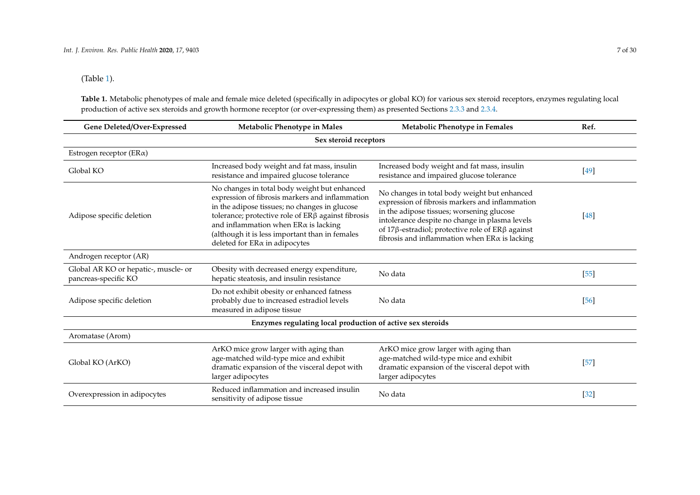# (Table [1\)](#page-7-1).

**Table 1.** Metabolic phenotypes of male and female mice deleted (specifically in adipocytes or global KO) for various sex steroid receptors, enzymes regulating local production of active sex steroids and growth hormone receptor (or over-expressing them) as presented Sections [2.3.3](#page-4-0) and [2.3.4.](#page-4-1)

| Gene Deleted/Over-Expressed                                  | Metabolic Phenotype in Males<br>Metabolic Phenotype in Females                                                                                                                                                                                                                                                                                  |                                                                                                                                                                                                                                                                                                                           |        |  |  |  |  |
|--------------------------------------------------------------|-------------------------------------------------------------------------------------------------------------------------------------------------------------------------------------------------------------------------------------------------------------------------------------------------------------------------------------------------|---------------------------------------------------------------------------------------------------------------------------------------------------------------------------------------------------------------------------------------------------------------------------------------------------------------------------|--------|--|--|--|--|
| Sex steroid receptors                                        |                                                                                                                                                                                                                                                                                                                                                 |                                                                                                                                                                                                                                                                                                                           |        |  |  |  |  |
| Estrogen receptor ( $ER\alpha$ )                             |                                                                                                                                                                                                                                                                                                                                                 |                                                                                                                                                                                                                                                                                                                           |        |  |  |  |  |
| Global KO                                                    | Increased body weight and fat mass, insulin<br>resistance and impaired glucose tolerance                                                                                                                                                                                                                                                        | Increased body weight and fat mass, insulin<br>resistance and impaired glucose tolerance                                                                                                                                                                                                                                  | $[49]$ |  |  |  |  |
| Adipose specific deletion                                    | No changes in total body weight but enhanced<br>expression of fibrosis markers and inflammation<br>in the adipose tissues; no changes in glucose<br>tolerance; protective role of ERß against fibrosis<br>and inflammation when $ER\alpha$ is lacking<br>(although it is less important than in females<br>deleted for $ER\alpha$ in adipocytes | No changes in total body weight but enhanced<br>expression of fibrosis markers and inflammation<br>in the adipose tissues; worsening glucose<br>intolerance despite no change in plasma levels<br>of 17 $\beta$ -estradiol; protective role of ER $\beta$ against<br>fibrosis and inflammation when $ER\alpha$ is lacking | $[48]$ |  |  |  |  |
| Androgen receptor (AR)                                       |                                                                                                                                                                                                                                                                                                                                                 |                                                                                                                                                                                                                                                                                                                           |        |  |  |  |  |
| Global AR KO or hepatic-, muscle- or<br>pancreas-specific KO | Obesity with decreased energy expenditure,<br>hepatic steatosis, and insulin resistance                                                                                                                                                                                                                                                         | No data                                                                                                                                                                                                                                                                                                                   | $[55]$ |  |  |  |  |
| Adipose specific deletion                                    | Do not exhibit obesity or enhanced fatness<br>probably due to increased estradiol levels<br>measured in adipose tissue                                                                                                                                                                                                                          | No data                                                                                                                                                                                                                                                                                                                   | [56]   |  |  |  |  |
| Enzymes regulating local production of active sex steroids   |                                                                                                                                                                                                                                                                                                                                                 |                                                                                                                                                                                                                                                                                                                           |        |  |  |  |  |
| Aromatase (Arom)                                             |                                                                                                                                                                                                                                                                                                                                                 |                                                                                                                                                                                                                                                                                                                           |        |  |  |  |  |
| Global KO (ArKO)                                             | ArKO mice grow larger with aging than<br>age-matched wild-type mice and exhibit<br>dramatic expansion of the visceral depot with<br>larger adipocytes                                                                                                                                                                                           | ArKO mice grow larger with aging than<br>age-matched wild-type mice and exhibit<br>dramatic expansion of the visceral depot with<br>larger adipocytes                                                                                                                                                                     | [57]   |  |  |  |  |
| Overexpression in adipocytes                                 | Reduced inflammation and increased insulin<br>No data<br>sensitivity of adipose tissue                                                                                                                                                                                                                                                          |                                                                                                                                                                                                                                                                                                                           | $[32]$ |  |  |  |  |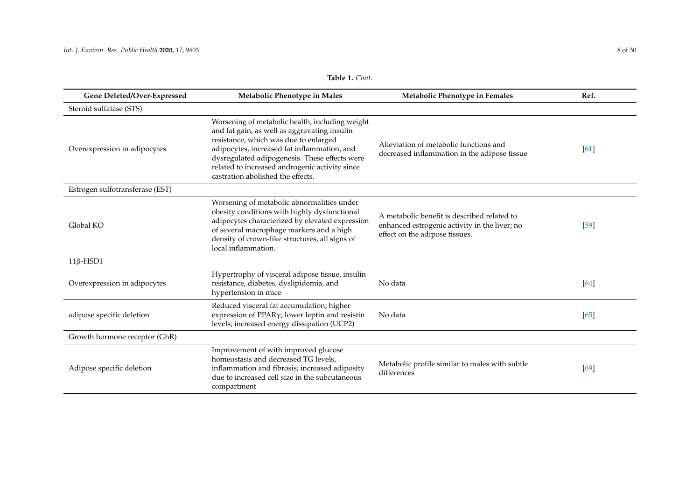<span id="page-7-1"></span><span id="page-7-0"></span>

| Gene Deleted/Over-Expressed<br>Metabolic Phenotype in Males |                                                                                                                                                                                                                                                                                                                                 | Metabolic Phenotype in Females                                                                                                 | Ref.   |
|-------------------------------------------------------------|---------------------------------------------------------------------------------------------------------------------------------------------------------------------------------------------------------------------------------------------------------------------------------------------------------------------------------|--------------------------------------------------------------------------------------------------------------------------------|--------|
| Steroid sulfatase (STS)                                     |                                                                                                                                                                                                                                                                                                                                 |                                                                                                                                |        |
| Overexpression in adipocytes                                | Worsening of metabolic health, including weight<br>and fat gain, as well as aggravating insulin<br>resistance, which was due to enlarged<br>adipocytes, increased fat inflammation, and<br>dysregulated adipogenesis. These effects were<br>related to increased androgenic activity since<br>castration abolished the effects. | Alleviation of metabolic functions and<br>decreased inflammation in the adipose tissue                                         | [61]   |
| Estrogen sulfotransferase (EST)                             |                                                                                                                                                                                                                                                                                                                                 |                                                                                                                                |        |
| Global KO                                                   | Worsening of metabolic abnormalities under<br>obesity conditions with highly dysfunctional<br>adipocytes characterized by elevated expression<br>of several macrophage markers and a high<br>density of crown-like structures, all signs of<br>local inflammation.                                                              | A metabolic benefit is described related to<br>enhanced estrogenic activity in the liver; no<br>effect on the adipose tissues. | $[59]$ |
| $11\beta$ -HSD1                                             |                                                                                                                                                                                                                                                                                                                                 |                                                                                                                                |        |
| Overexpression in adipocytes                                | Hypertrophy of visceral adipose tissue, insulin<br>resistance, diabetes, dyslipidemia, and<br>hypertension in mice                                                                                                                                                                                                              | No data                                                                                                                        | [64]   |
| adipose specific deletion                                   | Reduced visceral fat accumulation; higher<br>expression of PPARy; lower leptin and resistin<br>No data<br>levels; increased energy dissipation (UCP2)                                                                                                                                                                           |                                                                                                                                | [65]   |
| Growth hormone receptor (GhR)                               |                                                                                                                                                                                                                                                                                                                                 |                                                                                                                                |        |
| Adipose specific deletion                                   | Improvement of with improved glucose<br>homeostasis and decreased TG levels,<br>inflammation and fibrosis; increased adiposity<br>due to increased cell size in the subcutaneous<br>compartment                                                                                                                                 | Metabolic profile similar to males with subtle<br>differences                                                                  | [69]   |

# **Table 1.** *Cont.*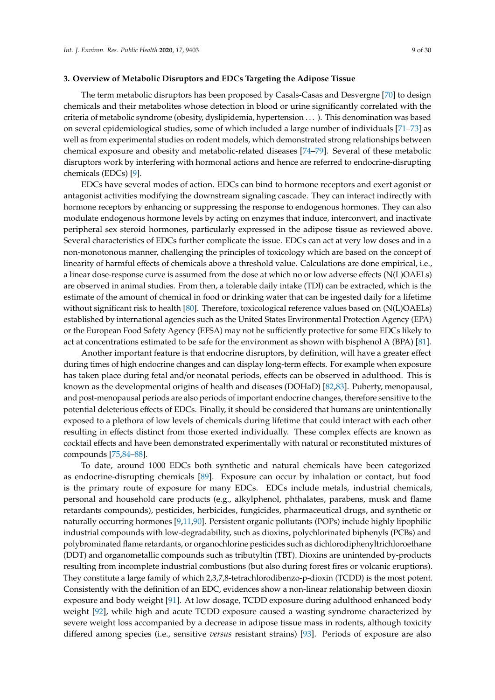### <span id="page-8-0"></span>**3. Overview of Metabolic Disruptors and EDCs Targeting the Adipose Tissue**

The term metabolic disruptors has been proposed by Casals-Casas and Desvergne [\[70\]](#page-21-25) to design chemicals and their metabolites whose detection in blood or urine significantly correlated with the criteria of metabolic syndrome (obesity, dyslipidemia, hypertension . . . ). This denomination was based on several epidemiological studies, some of which included a large number of individuals [\[71–](#page-21-26)[73\]](#page-22-0) as well as from experimental studies on rodent models, which demonstrated strong relationships between chemical exposure and obesity and metabolic-related diseases [\[74](#page-22-1)[–79\]](#page-22-2). Several of these metabolic disruptors work by interfering with hormonal actions and hence are referred to endocrine-disrupting chemicals (EDCs) [\[9\]](#page-18-8).

EDCs have several modes of action. EDCs can bind to hormone receptors and exert agonist or antagonist activities modifying the downstream signaling cascade. They can interact indirectly with hormone receptors by enhancing or suppressing the response to endogenous hormones. They can also modulate endogenous hormone levels by acting on enzymes that induce, interconvert, and inactivate peripheral sex steroid hormones, particularly expressed in the adipose tissue as reviewed above. Several characteristics of EDCs further complicate the issue. EDCs can act at very low doses and in a non-monotonous manner, challenging the principles of toxicology which are based on the concept of linearity of harmful effects of chemicals above a threshold value. Calculations are done empirical, i.e., a linear dose-response curve is assumed from the dose at which no or low adverse effects (N(L)OAELs) are observed in animal studies. From then, a tolerable daily intake (TDI) can be extracted, which is the estimate of the amount of chemical in food or drinking water that can be ingested daily for a lifetime without significant risk to health [\[80\]](#page-22-3). Therefore, toxicological reference values based on (N(L)OAELs) established by international agencies such as the United States Environmental Protection Agency (EPA) or the European Food Safety Agency (EFSA) may not be sufficiently protective for some EDCs likely to act at concentrations estimated to be safe for the environment as shown with bisphenol A (BPA) [\[81\]](#page-22-4).

Another important feature is that endocrine disruptors, by definition, will have a greater effect during times of high endocrine changes and can display long-term effects. For example when exposure has taken place during fetal and/or neonatal periods, effects can be observed in adulthood. This is known as the developmental origins of health and diseases (DOHaD) [\[82,](#page-22-5)[83\]](#page-22-6). Puberty, menopausal, and post-menopausal periods are also periods of important endocrine changes, therefore sensitive to the potential deleterious effects of EDCs. Finally, it should be considered that humans are unintentionally exposed to a plethora of low levels of chemicals during lifetime that could interact with each other resulting in effects distinct from those exerted individually. These complex effects are known as cocktail effects and have been demonstrated experimentally with natural or reconstituted mixtures of compounds [\[75,](#page-22-7)[84–](#page-22-8)[88\]](#page-22-9).

To date, around 1000 EDCs both synthetic and natural chemicals have been categorized as endocrine-disrupting chemicals [\[89\]](#page-22-10). Exposure can occur by inhalation or contact, but food is the primary route of exposure for many EDCs. EDCs include metals, industrial chemicals, personal and household care products (e.g., alkylphenol, phthalates, parabens, musk and flame retardants compounds), pesticides, herbicides, fungicides, pharmaceutical drugs, and synthetic or naturally occurring hormones [\[9,](#page-18-8)[11,](#page-19-0)[90\]](#page-22-11). Persistent organic pollutants (POPs) include highly lipophilic industrial compounds with low-degradability, such as dioxins, polychlorinated biphenyls (PCBs) and polybrominated flame retardants, or organochlorine pesticides such as dichlorodiphenyltrichloroethane (DDT) and organometallic compounds such as tributyltin (TBT). Dioxins are unintended by-products resulting from incomplete industrial combustions (but also during forest fires or volcanic eruptions). They constitute a large family of which 2,3,7,8-tetrachlorodibenzo-p-dioxin (TCDD) is the most potent. Consistently with the definition of an EDC, evidences show a non-linear relationship between dioxin exposure and body weight [\[91\]](#page-22-12). At low dosage, TCDD exposure during adulthood enhanced body weight [\[92\]](#page-22-13), while high and acute TCDD exposure caused a wasting syndrome characterized by severe weight loss accompanied by a decrease in adipose tissue mass in rodents, although toxicity differed among species (i.e., sensitive *versus* resistant strains) [\[93\]](#page-22-14). Periods of exposure are also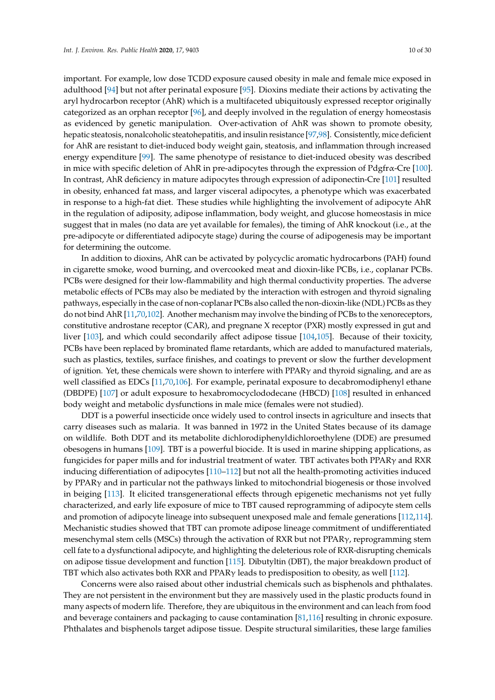for determining the outcome.

important. For example, low dose TCDD exposure caused obesity in male and female mice exposed in adulthood [\[94\]](#page-22-15) but not after perinatal exposure [\[95\]](#page-23-0). Dioxins mediate their actions by activating the aryl hydrocarbon receptor (AhR) which is a multifaceted ubiquitously expressed receptor originally categorized as an orphan receptor [\[96\]](#page-23-1), and deeply involved in the regulation of energy homeostasis as evidenced by genetic manipulation. Over-activation of AhR was shown to promote obesity, hepatic steatosis, nonalcoholic steatohepatitis, and insulin resistance [\[97](#page-23-2)[,98\]](#page-23-3). Consistently, mice deficient for AhR are resistant to diet-induced body weight gain, steatosis, and inflammation through increased energy expenditure [\[99\]](#page-23-4). The same phenotype of resistance to diet-induced obesity was described in mice with specific deletion of AhR in pre-adipocytes through the expression of Pdgfrα-Cre [\[100\]](#page-23-5). In contrast, AhR deficiency in mature adipocytes through expression of adiponectin-Cre [\[101\]](#page-23-6) resulted in obesity, enhanced fat mass, and larger visceral adipocytes, a phenotype which was exacerbated in response to a high-fat diet. These studies while highlighting the involvement of adipocyte AhR in the regulation of adiposity, adipose inflammation, body weight, and glucose homeostasis in mice suggest that in males (no data are yet available for females), the timing of AhR knockout (i.e., at the pre-adipocyte or differentiated adipocyte stage) during the course of adipogenesis may be important

In addition to dioxins, AhR can be activated by polycyclic aromatic hydrocarbons (PAH) found in cigarette smoke, wood burning, and overcooked meat and dioxin-like PCBs, i.e., coplanar PCBs. PCBs were designed for their low-flammability and high thermal conductivity properties. The adverse metabolic effects of PCBs may also be mediated by the interaction with estrogen and thyroid signaling pathways, especially in the case of non-coplanar PCBs also called the non-dioxin-like (NDL) PCBs as they do not bind AhR [\[11,](#page-19-0)[70,](#page-21-25)[102\]](#page-23-7). Another mechanism may involve the binding of PCBs to the xenoreceptors, constitutive androstane receptor (CAR), and pregnane X receptor (PXR) mostly expressed in gut and liver [\[103\]](#page-23-8), and which could secondarily affect adipose tissue [\[104,](#page-23-9)[105\]](#page-23-10). Because of their toxicity, PCBs have been replaced by brominated flame retardants, which are added to manufactured materials, such as plastics, textiles, surface finishes, and coatings to prevent or slow the further development of ignition. Yet, these chemicals were shown to interfere with PPARγ and thyroid signaling, and are as well classified as EDCs [\[11](#page-19-0)[,70](#page-21-25)[,106\]](#page-23-11). For example, perinatal exposure to decabromodiphenyl ethane (DBDPE) [\[107\]](#page-23-12) or adult exposure to hexabromocyclododecane (HBCD) [\[108\]](#page-23-13) resulted in enhanced body weight and metabolic dysfunctions in male mice (females were not studied).

DDT is a powerful insecticide once widely used to control insects in agriculture and insects that carry diseases such as malaria. It was banned in 1972 in the United States because of its damage on wildlife. Both DDT and its metabolite dichlorodiphenyldichloroethylene (DDE) are presumed obesogens in humans [\[109\]](#page-23-14). TBT is a powerful biocide. It is used in marine shipping applications, as fungicides for paper mills and for industrial treatment of water. TBT activates both PPARγ and RXR inducing differentiation of adipocytes [\[110–](#page-23-15)[112\]](#page-23-16) but not all the health-promoting activities induced by PPARγ and in particular not the pathways linked to mitochondrial biogenesis or those involved in beiging [\[113\]](#page-23-17). It elicited transgenerational effects through epigenetic mechanisms not yet fully characterized, and early life exposure of mice to TBT caused reprogramming of adipocyte stem cells and promotion of adipocyte lineage into subsequent unexposed male and female generations [\[112](#page-23-16)[,114\]](#page-24-0). Mechanistic studies showed that TBT can promote adipose lineage commitment of undifferentiated mesenchymal stem cells (MSCs) through the activation of RXR but not PPARγ, reprogramming stem cell fate to a dysfunctional adipocyte, and highlighting the deleterious role of RXR-disrupting chemicals on adipose tissue development and function [\[115\]](#page-24-1). Dibutyltin (DBT), the major breakdown product of TBT which also activates both RXR and PPARγ leads to predisposition to obesity, as well [\[112\]](#page-23-16).

Concerns were also raised about other industrial chemicals such as bisphenols and phthalates. They are not persistent in the environment but they are massively used in the plastic products found in many aspects of modern life. Therefore, they are ubiquitous in the environment and can leach from food and beverage containers and packaging to cause contamination [\[81](#page-22-4)[,116\]](#page-24-2) resulting in chronic exposure. Phthalates and bisphenols target adipose tissue. Despite structural similarities, these large families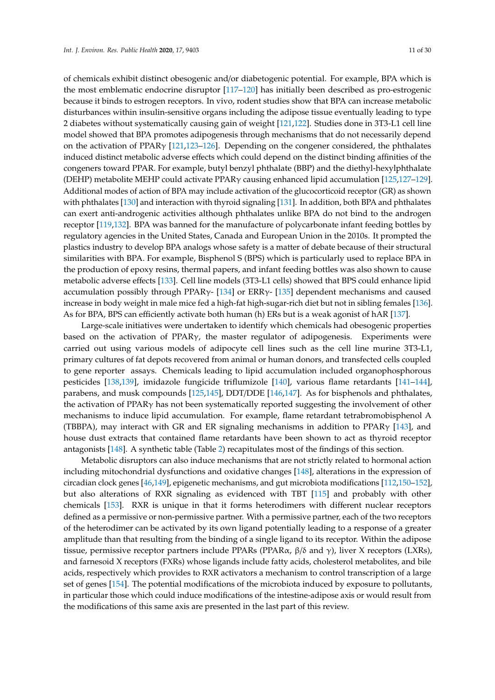of chemicals exhibit distinct obesogenic and/or diabetogenic potential. For example, BPA which is the most emblematic endocrine disruptor [\[117–](#page-24-3)[120\]](#page-24-4) has initially been described as pro-estrogenic because it binds to estrogen receptors. In vivo, rodent studies show that BPA can increase metabolic disturbances within insulin-sensitive organs including the adipose tissue eventually leading to type 2 diabetes without systematically causing gain of weight [\[121](#page-24-5)[,122\]](#page-24-6). Studies done in 3T3-L1 cell line model showed that BPA promotes adipogenesis through mechanisms that do not necessarily depend on the activation of PPARγ [\[121](#page-24-5)[,123–](#page-24-7)[126\]](#page-24-8). Depending on the congener considered, the phthalates induced distinct metabolic adverse effects which could depend on the distinct binding affinities of the congeners toward PPAR. For example, butyl benzyl phthalate (BBP) and the diethyl-hexylphthalate (DEHP) metabolite MEHP could activate PPARγ causing enhanced lipid accumulation [\[125](#page-24-9)[,127–](#page-24-10)[129\]](#page-24-11). Additional modes of action of BPA may include activation of the glucocorticoid receptor (GR) as shown with phthalates [\[130\]](#page-24-12) and interaction with thyroid signaling [\[131\]](#page-24-13). In addition, both BPA and phthalates can exert anti-androgenic activities although phthalates unlike BPA do not bind to the androgen receptor [\[119](#page-24-14)[,132\]](#page-25-0). BPA was banned for the manufacture of polycarbonate infant feeding bottles by regulatory agencies in the United States, Canada and European Union in the 2010s. It prompted the plastics industry to develop BPA analogs whose safety is a matter of debate because of their structural similarities with BPA. For example, Bisphenol S (BPS) which is particularly used to replace BPA in the production of epoxy resins, thermal papers, and infant feeding bottles was also shown to cause metabolic adverse effects [\[133\]](#page-25-1). Cell line models (3T3-L1 cells) showed that BPS could enhance lipid accumulation possibly through PPAR $\gamma$ - [\[134\]](#page-25-2) or ERR $\gamma$ - [\[135\]](#page-25-3) dependent mechanisms and caused increase in body weight in male mice fed a high-fat high-sugar-rich diet but not in sibling females [\[136\]](#page-25-4). As for BPA, BPS can efficiently activate both human (h) ERs but is a weak agonist of hAR [\[137\]](#page-25-5).

Large-scale initiatives were undertaken to identify which chemicals had obesogenic properties based on the activation of PPARγ, the master regulator of adipogenesis. Experiments were carried out using various models of adipocyte cell lines such as the cell line murine 3T3-L1, primary cultures of fat depots recovered from animal or human donors, and transfected cells coupled to gene reporter assays. Chemicals leading to lipid accumulation included organophosphorous pesticides [\[138,](#page-25-6)[139\]](#page-25-7), imidazole fungicide triflumizole [\[140\]](#page-25-8), various flame retardants [\[141](#page-25-9)[–144\]](#page-25-10), parabens, and musk compounds [\[125](#page-24-9)[,145\]](#page-25-11), DDT/DDE [\[146](#page-25-12)[,147\]](#page-25-13). As for bisphenols and phthalates, the activation of PPARγ has not been systematically reported suggesting the involvement of other mechanisms to induce lipid accumulation. For example, flame retardant tetrabromobisphenol A (TBBPA), may interact with GR and ER signaling mechanisms in addition to PPAR $\gamma$  [\[143\]](#page-25-14), and house dust extracts that contained flame retardants have been shown to act as thyroid receptor antagonists [\[148\]](#page-25-15). A synthetic table (Table [2\)](#page-16-0) recapitulates most of the findings of this section.

Metabolic disruptors can also induce mechanisms that are not strictly related to hormonal action including mitochondrial dysfunctions and oxidative changes [\[148\]](#page-25-15), alterations in the expression of circadian clock genes [\[46](#page-20-12)[,149\]](#page-25-16), epigenetic mechanisms, and gut microbiota modifications [\[112](#page-23-16)[,150](#page-25-17)[–152\]](#page-26-0), but also alterations of RXR signaling as evidenced with TBT [\[115\]](#page-24-1) and probably with other chemicals [\[153\]](#page-26-1). RXR is unique in that it forms heterodimers with different nuclear receptors defined as a permissive or non-permissive partner. With a permissive partner, each of the two receptors of the heterodimer can be activated by its own ligand potentially leading to a response of a greater amplitude than that resulting from the binding of a single ligand to its receptor. Within the adipose tissue, permissive receptor partners include PPARs (PPAR $\alpha$ ,  $\beta/\delta$  and  $\gamma$ ), liver X receptors (LXRs), and farnesoid X receptors (FXRs) whose ligands include fatty acids, cholesterol metabolites, and bile acids, respectively which provides to RXR activators a mechanism to control transcription of a large set of genes [\[154\]](#page-26-2). The potential modifications of the microbiota induced by exposure to pollutants, in particular those which could induce modifications of the intestine-adipose axis or would result from the modifications of this same axis are presented in the last part of this review.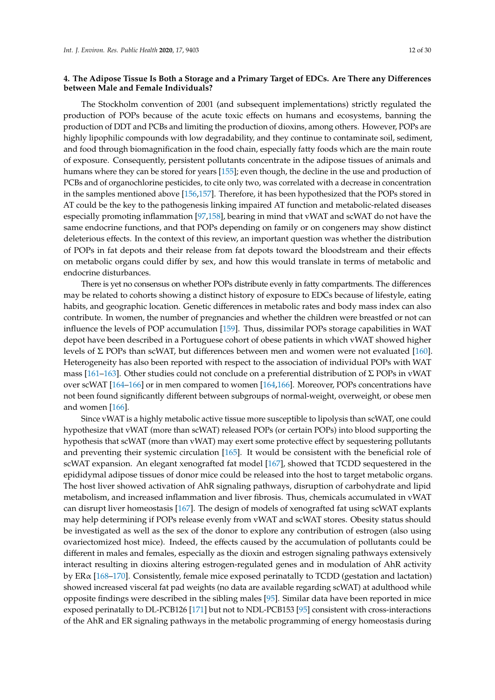### **4. The Adipose Tissue Is Both a Storage and a Primary Target of EDCs. Are There any Di**ff**erences between Male and Female Individuals?**

The Stockholm convention of 2001 (and subsequent implementations) strictly regulated the production of POPs because of the acute toxic effects on humans and ecosystems, banning the production of DDT and PCBs and limiting the production of dioxins, among others. However, POPs are highly lipophilic compounds with low degradability, and they continue to contaminate soil, sediment, and food through biomagnification in the food chain, especially fatty foods which are the main route of exposure. Consequently, persistent pollutants concentrate in the adipose tissues of animals and humans where they can be stored for years [\[155\]](#page-26-3); even though, the decline in the use and production of PCBs and of organochlorine pesticides, to cite only two, was correlated with a decrease in concentration in the samples mentioned above [\[156,](#page-26-4)[157\]](#page-26-5). Therefore, it has been hypothesized that the POPs stored in AT could be the key to the pathogenesis linking impaired AT function and metabolic-related diseases especially promoting inflammation [\[97](#page-23-2)[,158\]](#page-26-6), bearing in mind that vWAT and scWAT do not have the same endocrine functions, and that POPs depending on family or on congeners may show distinct deleterious effects. In the context of this review, an important question was whether the distribution of POPs in fat depots and their release from fat depots toward the bloodstream and their effects on metabolic organs could differ by sex, and how this would translate in terms of metabolic and endocrine disturbances.

There is yet no consensus on whether POPs distribute evenly in fatty compartments. The differences may be related to cohorts showing a distinct history of exposure to EDCs because of lifestyle, eating habits, and geographic location. Genetic differences in metabolic rates and body mass index can also contribute. In women, the number of pregnancies and whether the children were breastfed or not can influence the levels of POP accumulation [\[159\]](#page-26-7). Thus, dissimilar POPs storage capabilities in WAT depot have been described in a Portuguese cohort of obese patients in which vWAT showed higher levels of Σ POPs than scWAT, but differences between men and women were not evaluated [\[160\]](#page-26-8). Heterogeneity has also been reported with respect to the association of individual POPs with WAT mass [\[161–](#page-26-9)[163\]](#page-26-10). Other studies could not conclude on a preferential distribution of  $\Sigma$  POPs in vWAT over scWAT [\[164–](#page-26-11)[166\]](#page-26-12) or in men compared to women [\[164,](#page-26-11)[166\]](#page-26-12). Moreover, POPs concentrations have not been found significantly different between subgroups of normal-weight, overweight, or obese men and women [\[166\]](#page-26-12).

Since vWAT is a highly metabolic active tissue more susceptible to lipolysis than scWAT, one could hypothesize that vWAT (more than scWAT) released POPs (or certain POPs) into blood supporting the hypothesis that scWAT (more than vWAT) may exert some protective effect by sequestering pollutants and preventing their systemic circulation [\[165\]](#page-26-13). It would be consistent with the beneficial role of scWAT expansion. An elegant xenografted fat model [\[167\]](#page-26-14), showed that TCDD sequestered in the epididymal adipose tissues of donor mice could be released into the host to target metabolic organs. The host liver showed activation of AhR signaling pathways, disruption of carbohydrate and lipid metabolism, and increased inflammation and liver fibrosis. Thus, chemicals accumulated in vWAT can disrupt liver homeostasis [\[167\]](#page-26-14). The design of models of xenografted fat using scWAT explants may help determining if POPs release evenly from vWAT and scWAT stores. Obesity status should be investigated as well as the sex of the donor to explore any contribution of estrogen (also using ovariectomized host mice). Indeed, the effects caused by the accumulation of pollutants could be different in males and females, especially as the dioxin and estrogen signaling pathways extensively interact resulting in dioxins altering estrogen-regulated genes and in modulation of AhR activity by ERα [\[168–](#page-26-15)[170\]](#page-26-16). Consistently, female mice exposed perinatally to TCDD (gestation and lactation) showed increased visceral fat pad weights (no data are available regarding scWAT) at adulthood while opposite findings were described in the sibling males [\[95\]](#page-23-0). Similar data have been reported in mice exposed perinatally to DL-PCB126 [\[171\]](#page-27-0) but not to NDL-PCB153 [\[95\]](#page-23-0) consistent with cross-interactions of the AhR and ER signaling pathways in the metabolic programming of energy homeostasis during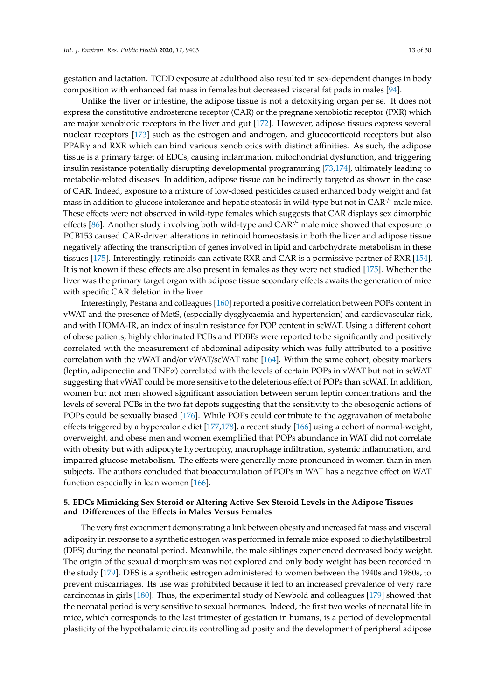gestation and lactation. TCDD exposure at adulthood also resulted in sex-dependent changes in body composition with enhanced fat mass in females but decreased visceral fat pads in males [\[94\]](#page-22-15).

Unlike the liver or intestine, the adipose tissue is not a detoxifying organ per se. It does not express the constitutive androsterone receptor (CAR) or the pregnane xenobiotic receptor (PXR) which are major xenobiotic receptors in the liver and gut [\[172\]](#page-27-1). However, adipose tissues express several nuclear receptors [\[173\]](#page-27-2) such as the estrogen and androgen, and glucocorticoid receptors but also PPARγ and RXR which can bind various xenobiotics with distinct affinities. As such, the adipose tissue is a primary target of EDCs, causing inflammation, mitochondrial dysfunction, and triggering insulin resistance potentially disrupting developmental programming [\[73](#page-22-0)[,174\]](#page-27-3), ultimately leading to metabolic-related diseases. In addition, adipose tissue can be indirectly targeted as shown in the case of CAR. Indeed, exposure to a mixture of low-dosed pesticides caused enhanced body weight and fat mass in addition to glucose intolerance and hepatic steatosis in wild-type but not in  $CAR^{-/-}$  male mice. These effects were not observed in wild-type females which suggests that CAR displays sex dimorphic effects [\[86\]](#page-22-16). Another study involving both wild-type and  $CAR^{-/-}$  male mice showed that exposure to PCB153 caused CAR-driven alterations in retinoid homeostasis in both the liver and adipose tissue negatively affecting the transcription of genes involved in lipid and carbohydrate metabolism in these tissues [\[175\]](#page-27-4). Interestingly, retinoids can activate RXR and CAR is a permissive partner of RXR [\[154\]](#page-26-2). It is not known if these effects are also present in females as they were not studied [\[175\]](#page-27-4). Whether the liver was the primary target organ with adipose tissue secondary effects awaits the generation of mice with specific CAR deletion in the liver.

Interestingly, Pestana and colleagues [\[160\]](#page-26-8) reported a positive correlation between POPs content in vWAT and the presence of MetS, (especially dysglycaemia and hypertension) and cardiovascular risk, and with HOMA-IR, an index of insulin resistance for POP content in scWAT. Using a different cohort of obese patients, highly chlorinated PCBs and PDBEs were reported to be significantly and positively correlated with the measurement of abdominal adiposity which was fully attributed to a positive correlation with the vWAT and/or vWAT/scWAT ratio [\[164\]](#page-26-11). Within the same cohort, obesity markers (leptin, adiponectin and TNFα) correlated with the levels of certain POPs in vWAT but not in scWAT suggesting that vWAT could be more sensitive to the deleterious effect of POPs than scWAT. In addition, women but not men showed significant association between serum leptin concentrations and the levels of several PCBs in the two fat depots suggesting that the sensitivity to the obesogenic actions of POPs could be sexually biased [\[176\]](#page-27-5). While POPs could contribute to the aggravation of metabolic effects triggered by a hypercaloric diet [\[177,](#page-27-6)[178\]](#page-27-7), a recent study [\[166\]](#page-26-12) using a cohort of normal-weight, overweight, and obese men and women exemplified that POPs abundance in WAT did not correlate with obesity but with adipocyte hypertrophy, macrophage infiltration, systemic inflammation, and impaired glucose metabolism. The effects were generally more pronounced in women than in men subjects. The authors concluded that bioaccumulation of POPs in WAT has a negative effect on WAT function especially in lean women [\[166\]](#page-26-12).

# **5. EDCs Mimicking Sex Steroid or Altering Active Sex Steroid Levels in the Adipose Tissues and Di**ff**erences of the E**ff**ects in Males Versus Females**

The very first experiment demonstrating a link between obesity and increased fat mass and visceral adiposity in response to a synthetic estrogen was performed in female mice exposed to diethylstilbestrol (DES) during the neonatal period. Meanwhile, the male siblings experienced decreased body weight. The origin of the sexual dimorphism was not explored and only body weight has been recorded in the study [\[179\]](#page-27-8). DES is a synthetic estrogen administered to women between the 1940s and 1980s, to prevent miscarriages. Its use was prohibited because it led to an increased prevalence of very rare carcinomas in girls [\[180\]](#page-27-9). Thus, the experimental study of Newbold and colleagues [\[179\]](#page-27-8) showed that the neonatal period is very sensitive to sexual hormones. Indeed, the first two weeks of neonatal life in mice, which corresponds to the last trimester of gestation in humans, is a period of developmental plasticity of the hypothalamic circuits controlling adiposity and the development of peripheral adipose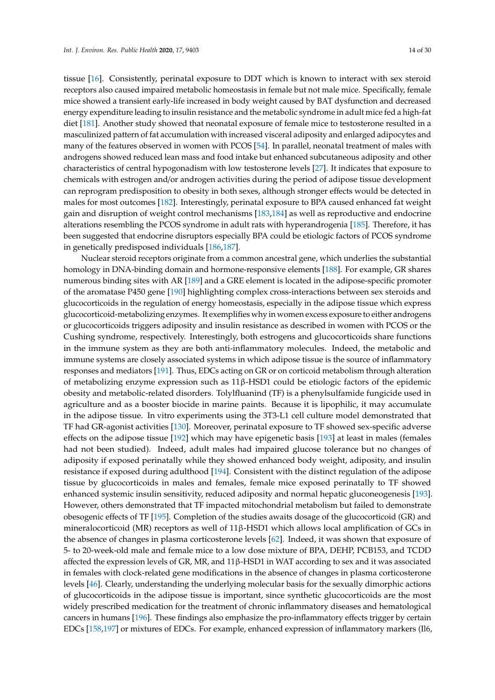tissue [\[16\]](#page-19-5). Consistently, perinatal exposure to DDT which is known to interact with sex steroid receptors also caused impaired metabolic homeostasis in female but not male mice. Specifically, female mice showed a transient early-life increased in body weight caused by BAT dysfunction and decreased energy expenditure leading to insulin resistance and the metabolic syndrome in adult mice fed a high-fat diet [\[181\]](#page-27-10). Another study showed that neonatal exposure of female mice to testosterone resulted in a masculinized pattern of fat accumulation with increased visceral adiposity and enlarged adipocytes and many of the features observed in women with PCOS [\[54\]](#page-21-1). In parallel, neonatal treatment of males with androgens showed reduced lean mass and food intake but enhanced subcutaneous adiposity and other characteristics of central hypogonadism with low testosterone levels [\[27\]](#page-19-16). It indicates that exposure to chemicals with estrogen and/or androgen activities during the period of adipose tissue development can reprogram predisposition to obesity in both sexes, although stronger effects would be detected in males for most outcomes [\[182\]](#page-27-11). Interestingly, perinatal exposure to BPA caused enhanced fat weight gain and disruption of weight control mechanisms [\[183,](#page-27-12)[184\]](#page-27-13) as well as reproductive and endocrine alterations resembling the PCOS syndrome in adult rats with hyperandrogenia [\[185\]](#page-27-14). Therefore, it has been suggested that endocrine disruptors especially BPA could be etiologic factors of PCOS syndrome in genetically predisposed individuals [\[186](#page-27-15)[,187\]](#page-27-16).

Nuclear steroid receptors originate from a common ancestral gene, which underlies the substantial homology in DNA-binding domain and hormone-responsive elements [\[188\]](#page-27-17). For example, GR shares numerous binding sites with AR [\[189\]](#page-27-18) and a GRE element is located in the adipose-specific promoter of the aromatase P450 gene [\[190\]](#page-27-19) highlighting complex cross-interactions between sex steroids and glucocorticoids in the regulation of energy homeostasis, especially in the adipose tissue which express glucocorticoid-metabolizing enzymes. It exemplifies why in women excess exposure to either androgens or glucocorticoids triggers adiposity and insulin resistance as described in women with PCOS or the Cushing syndrome, respectively. Interestingly, both estrogens and glucocorticoids share functions in the immune system as they are both anti-inflammatory molecules. Indeed, the metabolic and immune systems are closely associated systems in which adipose tissue is the source of inflammatory responses and mediators [\[191\]](#page-28-0). Thus, EDCs acting on GR or on corticoid metabolism through alteration of metabolizing enzyme expression such as 11β-HSD1 could be etiologic factors of the epidemic obesity and metabolic-related disorders. Tolylfluanind (TF) is a phenylsulfamide fungicide used in agriculture and as a booster biocide in marine paints. Because it is lipophilic, it may accumulate in the adipose tissue. In vitro experiments using the 3T3-L1 cell culture model demonstrated that TF had GR-agonist activities [\[130\]](#page-24-12). Moreover, perinatal exposure to TF showed sex-specific adverse effects on the adipose tissue [\[192\]](#page-28-1) which may have epigenetic basis [\[193\]](#page-28-2) at least in males (females had not been studied). Indeed, adult males had impaired glucose tolerance but no changes of adiposity if exposed perinatally while they showed enhanced body weight, adiposity, and insulin resistance if exposed during adulthood [\[194\]](#page-28-3). Consistent with the distinct regulation of the adipose tissue by glucocorticoids in males and females, female mice exposed perinatally to TF showed enhanced systemic insulin sensitivity, reduced adiposity and normal hepatic gluconeogenesis [\[193\]](#page-28-2). However, others demonstrated that TF impacted mitochondrial metabolism but failed to demonstrate obesogenic effects of TF [\[195\]](#page-28-4). Completion of the studies awaits dosage of the glucocorticoid (GR) and mineralocorticoid (MR) receptors as well of 11β-HSD1 which allows local amplification of GCs in the absence of changes in plasma corticosterone levels [\[62\]](#page-21-9). Indeed, it was shown that exposure of 5- to 20-week-old male and female mice to a low dose mixture of BPA, DEHP, PCB153, and TCDD affected the expression levels of GR, MR, and 11β-HSD1 in WAT according to sex and it was associated in females with clock-related gene modifications in the absence of changes in plasma corticosterone levels [\[46\]](#page-20-12). Clearly, understanding the underlying molecular basis for the sexually dimorphic actions of glucocorticoids in the adipose tissue is important, since synthetic glucocorticoids are the most widely prescribed medication for the treatment of chronic inflammatory diseases and hematological cancers in humans [\[196\]](#page-28-5). These findings also emphasize the pro-inflammatory effects trigger by certain EDCs [\[158](#page-26-6)[,197\]](#page-28-6) or mixtures of EDCs. For example, enhanced expression of inflammatory markers (Il6,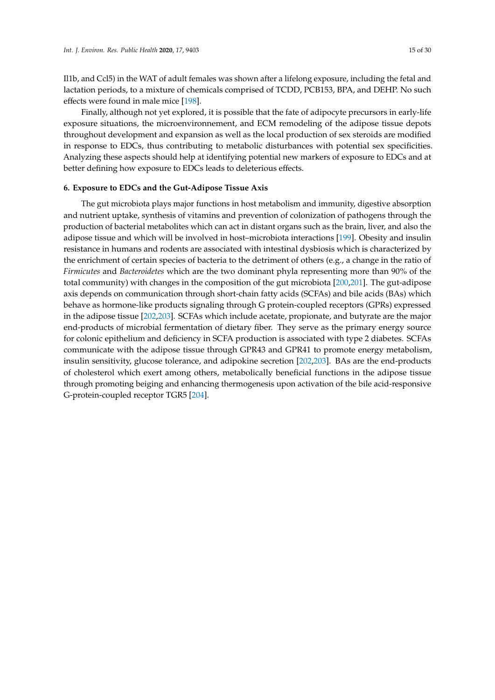<span id="page-14-0"></span>Il1b, and Ccl5) in the WAT of adult females was shown after a lifelong exposure, including the fetal and lactation periods, to a mixture of chemicals comprised of TCDD, PCB153, BPA, and DEHP. No such effects were found in male mice [\[198\]](#page-28-7).

Finally, although not yet explored, it is possible that the fate of adipocyte precursors in early-life exposure situations, the microenvironnement, and ECM remodeling of the adipose tissue depots throughout development and expansion as well as the local production of sex steroids are modified in response to EDCs, thus contributing to metabolic disturbances with potential sex specificities. Analyzing these aspects should help at identifying potential new markers of exposure to EDCs and at better defining how exposure to EDCs leads to deleterious effects.

#### **6. Exposure to EDCs and the Gut-Adipose Tissue Axis**

The gut microbiota plays major functions in host metabolism and immunity, digestive absorption and nutrient uptake, synthesis of vitamins and prevention of colonization of pathogens through the production of bacterial metabolites which can act in distant organs such as the brain, liver, and also the adipose tissue and which will be involved in host–microbiota interactions [\[199\]](#page-28-8). Obesity and insulin resistance in humans and rodents are associated with intestinal dysbiosis which is characterized by the enrichment of certain species of bacteria to the detriment of others (e.g., a change in the ratio of *Firmicutes* and *Bacteroidetes* which are the two dominant phyla representing more than 90% of the total community) with changes in the composition of the gut microbiota [\[200,](#page-28-9)[201\]](#page-28-10). The gut-adipose axis depends on communication through short-chain fatty acids (SCFAs) and bile acids (BAs) which behave as hormone-like products signaling through G protein-coupled receptors (GPRs) expressed in the adipose tissue [\[202,](#page-28-11)[203\]](#page-28-12). SCFAs which include acetate, propionate, and butyrate are the major end-products of microbial fermentation of dietary fiber. They serve as the primary energy source for colonic epithelium and deficiency in SCFA production is associated with type 2 diabetes. SCFAs communicate with the adipose tissue through GPR43 and GPR41 to promote energy metabolism, insulin sensitivity, glucose tolerance, and adipokine secretion [\[202](#page-28-11)[,203\]](#page-28-12). BAs are the end-products of cholesterol which exert among others, metabolically beneficial functions in the adipose tissue through promoting beiging and enhancing thermogenesis upon activation of the bile acid-responsive G-protein-coupled receptor TGR5 [\[204\]](#page-28-13).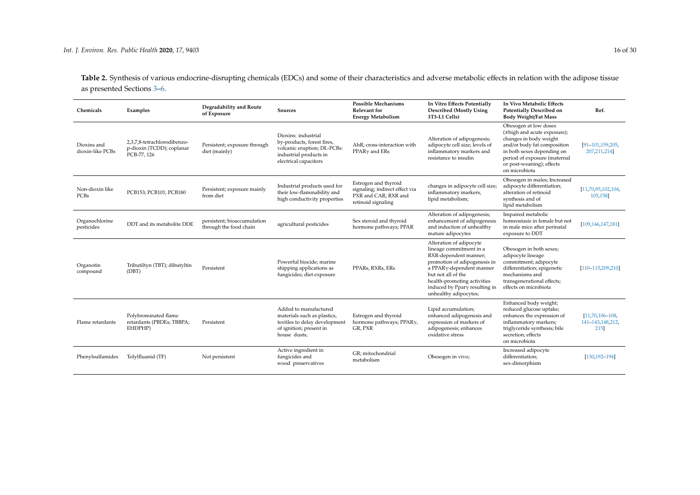**Table 2.** Synthesis of various endocrine-disrupting chemicals (EDCs) and some of their characteristics and adverse metabolic effects in relation with the adipose tissue as presented Sections [3](#page-8-0)[–6.](#page-14-0)

| Chemicals                       | Examples                                                                | Degradability and Route<br>of Exposure                | Sources                                                                                                                             | <b>Possible Mechanisms</b><br><b>Relevant for</b><br><b>Energy Metabolism</b>                        | In Vitro Effects Potentially<br><b>Described (Mostly Using</b><br>3T3-L1 Cells)                                                                                                                                                                        | In Vivo Metabolic Effects<br><b>Potentially Described on</b><br><b>Body Weight/Fat Mass</b>                                                                                                                               | Ref.                                              |
|---------------------------------|-------------------------------------------------------------------------|-------------------------------------------------------|-------------------------------------------------------------------------------------------------------------------------------------|------------------------------------------------------------------------------------------------------|--------------------------------------------------------------------------------------------------------------------------------------------------------------------------------------------------------------------------------------------------------|---------------------------------------------------------------------------------------------------------------------------------------------------------------------------------------------------------------------------|---------------------------------------------------|
| Dioxins and<br>dioxin-like PCBs | 2,3,7,8-tetrachlorodibenzo-<br>p-dioxin (TCDD); coplanar<br>PCB-77, 126 | Persistent; exposure through<br>diet (mainly)         | Dioxins: industrial<br>by-products, forest fires,<br>volcanic eruption; DL-PCBs:<br>industrial products in<br>electrical capacitors | AhR; cross-interaction with<br>PPAR <sub>Y</sub> and ERs                                             | Alteration of adipogenesis;<br>adipocyte cell size; levels of<br>inflammatory markers and<br>resistance to insulin                                                                                                                                     | Obesogen at low doses<br>(#high and acute exposure);<br>changes in body weight<br>and/or body fat composition<br>in both sexes depending on<br>period of exposure (maternal<br>or post-weaning); effects<br>on microbiota | $[91 - 101, 159, 205,$<br>207, 211, 214]          |
| Non-dioxin like<br>PCBs         | PCB153: PCB101: PCB180                                                  | Persistent; exposure mainly<br>from diet              | Industrial products used for<br>their low-flammability and<br>high conductivity properties                                          | Estrogen and thyroid<br>signaling; indirect effect via<br>PXR and CAR; RXR and<br>retinoid signaling | changes in adipocyte cell size;<br>inflammatory markers,<br>lipid metabolism;                                                                                                                                                                          | Obesogen in males; Increased<br>adipocyte differentiation;<br>alteration of retinoid<br>synthesis and of<br>lipid metabolism                                                                                              | [11, 70, 95, 102, 104,<br>105,158                 |
| Organochlorine<br>pesticides    | DDT and its metabolite DDE                                              | persistent; bioaccumulation<br>through the food chain | agricultural pesticides                                                                                                             | Sex steroid and thyroid<br>hormone pathways; PPAR                                                    | Alteration of adipogenesis;<br>enhancement of adipogenesis<br>and induction of unhealthy<br>mature adipocytes                                                                                                                                          | Impaired metabolic<br>homeostasis in female but not<br>in male mice after perinatal<br>exposure to DDT                                                                                                                    | [109,146,147,181]                                 |
| Organotin<br>compound           | Tributiltyn (TBT); dibutyltin<br>(DBT)                                  | Persistent                                            | Powerful biocide; marine<br>shipping applications as<br>fungicides; diet exposure                                                   | PPARs, RXRs, ERs                                                                                     | Alteration of adipocyte<br>lineage commitment in a<br>RXR-dependent manner;<br>promotion of adipogenesis in<br>a PPARy-dependent manner<br>but not all of the<br>health-promoting activities<br>induced by Ppary resulting in<br>unhealthy adipocytes; | Obesogen in both sexes;<br>adipocyte lineage<br>commitment; adipocyte<br>differentiation; epigenetic<br>mechanisms and<br>transgenerational effects;<br>effects on microbiota                                             | $[110 - 115, 209, 210]$                           |
| Flame retardants                | Polybrominated flame<br>retardants (PBDEs; TBBPA;<br>EHDPHP)            | Persistent                                            | Added to manufactured<br>materials such as plastics,<br>textiles to delay development<br>of ignition; present in<br>house dusts:    | Estrogen and thyroid<br>hormone pathways; PPARy,<br>GR, PXR                                          | Lipid accumulation;<br>enhanced adipogenesis and<br>expression of markers of<br>adipogenesis; enhances<br>oxidative stress                                                                                                                             | Enhanced body weight;<br>reduced glucose uptake;<br>enhances the expression of<br>inflammatory markers;<br>triglyceride synthesis; bile<br>secretion; effects<br>on microbiota                                            | $[11, 70, 106 - 108,$<br>141-143,148,212,<br>215] |
| Phenylsulfamides                | Tolylfluanid (TF)                                                       | Not persistent                                        | Active ingredient in<br>fungicides and<br>wood preservatives                                                                        | GR: mitochondrial<br>metabolism                                                                      | Obesogen in vivo;                                                                                                                                                                                                                                      | Increased adipocyte<br>differentiation;<br>sex-dimorphism                                                                                                                                                                 | $[130, 192 - 194]$                                |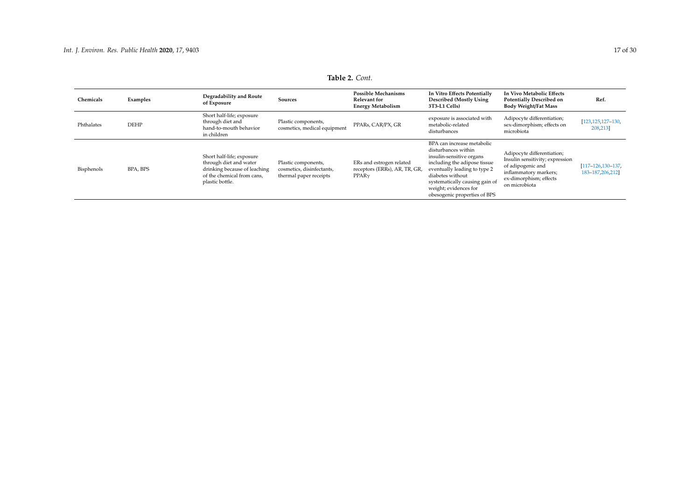<span id="page-16-0"></span>

| Chemicals  | Examples    | Degradability and Route<br>of Exposure                                                                                               | Sources                                                                    | <b>Possible Mechanisms</b><br><b>Relevant for</b><br><b>Energy Metabolism</b> | In Vitro Effects Potentially<br><b>Described (Mostly Using</b><br>3T3-L1 Cells)                                                                                                                                                                              | In Vivo Metabolic Effects<br>Potentially Described on<br><b>Body Weight/Fat Mass</b>                                                                   | Ref.                                           |
|------------|-------------|--------------------------------------------------------------------------------------------------------------------------------------|----------------------------------------------------------------------------|-------------------------------------------------------------------------------|--------------------------------------------------------------------------------------------------------------------------------------------------------------------------------------------------------------------------------------------------------------|--------------------------------------------------------------------------------------------------------------------------------------------------------|------------------------------------------------|
| Phthalates | <b>DEHP</b> | Short half-life; exposure<br>through diet and<br>hand-to-mouth behavior<br>in children                                               | Plastic components,<br>cosmetics, medical equipment                        | PPARs, CAR/PX, GR                                                             | exposure is associated with<br>metabolic-related<br>disturbances                                                                                                                                                                                             | Adipocyte differentiation;<br>sex-dimorphism; effects on<br>microbiota                                                                                 | $[123, 125, 127 - 130,$<br>208,213             |
| Bisphenols | BPA, BPS    | Short half-life; exposure<br>through diet and water<br>drinking because of leaching<br>of the chemical from cans,<br>plastic bottle. | Plastic components,<br>cosmetics, disinfectants,<br>thermal paper receipts | ERs and estrogen related<br>receptors (ERRs), AR, TR, GR,<br>$PPAR\gamma$     | BPA can increase metabolic<br>disturbances within<br>insulin-sensitive organs<br>including the adipose tissue<br>eventually leading to type 2<br>diabetes without<br>systematically causing gain of<br>weight; evidences for<br>obesogenic properties of BPS | Adipocyte differentiation;<br>Insulin sensitivity; expression<br>of adipogenic and<br>inflammatory markers;<br>ex-dimorphism; effects<br>on microbiota | $[117 - 126, 130 - 137]$<br>183-187, 206, 212] |

# **Table 2.** *Cont.*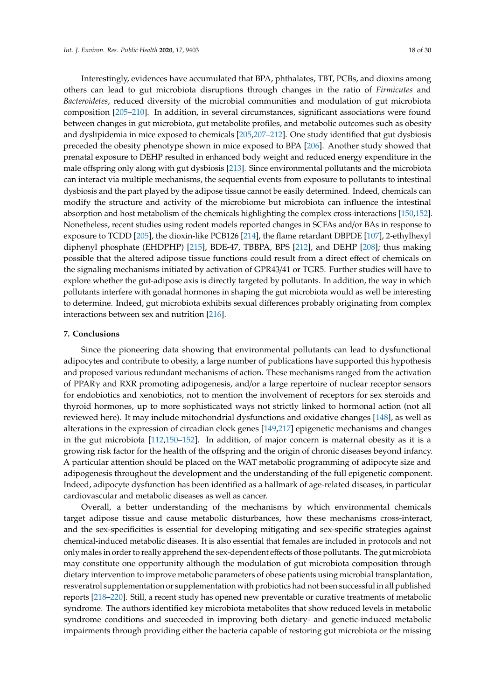Interestingly, evidences have accumulated that BPA, phthalates, TBT, PCBs, and dioxins among others can lead to gut microbiota disruptions through changes in the ratio of *Firmicutes* and *Bacteroidetes*, reduced diversity of the microbial communities and modulation of gut microbiota composition [\[205–](#page-28-20)[210\]](#page-28-21). In addition, in several circumstances, significant associations were found between changes in gut microbiota, gut metabolite profiles, and metabolic outcomes such as obesity and dyslipidemia in mice exposed to chemicals [\[205,](#page-28-20)[207–](#page-28-22)[212\]](#page-29-5). One study identified that gut dysbiosis preceded the obesity phenotype shown in mice exposed to BPA [\[206\]](#page-28-23). Another study showed that prenatal exposure to DEHP resulted in enhanced body weight and reduced energy expenditure in the male offspring only along with gut dysbiosis [\[213\]](#page-29-6). Since environmental pollutants and the microbiota can interact via multiple mechanisms, the sequential events from exposure to pollutants to intestinal dysbiosis and the part played by the adipose tissue cannot be easily determined. Indeed, chemicals can modify the structure and activity of the microbiome but microbiota can influence the intestinal absorption and host metabolism of the chemicals highlighting the complex cross-interactions [\[150](#page-25-17)[,152\]](#page-26-0). Nonetheless, recent studies using rodent models reported changes in SCFAs and/or BAs in response to exposure to TCDD [\[205\]](#page-28-20), the dioxin-like PCB126 [\[214\]](#page-29-7), the flame retardant DBPDE [\[107\]](#page-23-12), 2-ethylhexyl diphenyl phosphate (EHDPHP) [\[215\]](#page-29-8), BDE-47, TBBPA, BPS [\[212\]](#page-29-5), and DEHP [\[208\]](#page-28-24); thus making possible that the altered adipose tissue functions could result from a direct effect of chemicals on the signaling mechanisms initiated by activation of GPR43/41 or TGR5. Further studies will have to explore whether the gut-adipose axis is directly targeted by pollutants. In addition, the way in which pollutants interfere with gonadal hormones in shaping the gut microbiota would as well be interesting to determine. Indeed, gut microbiota exhibits sexual differences probably originating from complex interactions between sex and nutrition [\[216\]](#page-29-9).

### **7. Conclusions**

Since the pioneering data showing that environmental pollutants can lead to dysfunctional adipocytes and contribute to obesity, a large number of publications have supported this hypothesis and proposed various redundant mechanisms of action. These mechanisms ranged from the activation of PPARγ and RXR promoting adipogenesis, and/or a large repertoire of nuclear receptor sensors for endobiotics and xenobiotics, not to mention the involvement of receptors for sex steroids and thyroid hormones, up to more sophisticated ways not strictly linked to hormonal action (not all reviewed here). It may include mitochondrial dysfunctions and oxidative changes [\[148\]](#page-25-15), as well as alterations in the expression of circadian clock genes [\[149](#page-25-16)[,217\]](#page-29-10) epigenetic mechanisms and changes in the gut microbiota [\[112](#page-23-16)[,150](#page-25-17)[–152\]](#page-26-0). In addition, of major concern is maternal obesity as it is a growing risk factor for the health of the offspring and the origin of chronic diseases beyond infancy. A particular attention should be placed on the WAT metabolic programming of adipocyte size and adipogenesis throughout the development and the understanding of the full epigenetic component. Indeed, adipocyte dysfunction has been identified as a hallmark of age-related diseases, in particular cardiovascular and metabolic diseases as well as cancer.

Overall, a better understanding of the mechanisms by which environmental chemicals target adipose tissue and cause metabolic disturbances, how these mechanisms cross-interact, and the sex-specificities is essential for developing mitigating and sex-specific strategies against chemical-induced metabolic diseases. It is also essential that females are included in protocols and not only males in order to really apprehend the sex-dependent effects of those pollutants. The gut microbiota may constitute one opportunity although the modulation of gut microbiota composition through dietary intervention to improve metabolic parameters of obese patients using microbial transplantation, resveratrol supplementation or supplementation with probiotics had not been successful in all published reports [\[218–](#page-29-11)[220\]](#page-29-12). Still, a recent study has opened new preventable or curative treatments of metabolic syndrome. The authors identified key microbiota metabolites that show reduced levels in metabolic syndrome conditions and succeeded in improving both dietary- and genetic-induced metabolic impairments through providing either the bacteria capable of restoring gut microbiota or the missing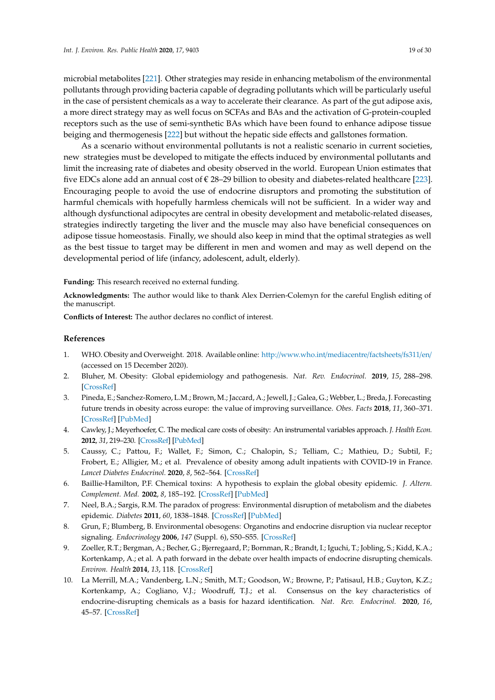microbial metabolites [\[221\]](#page-29-13). Other strategies may reside in enhancing metabolism of the environmental pollutants through providing bacteria capable of degrading pollutants which will be particularly useful in the case of persistent chemicals as a way to accelerate their clearance. As part of the gut adipose axis, a more direct strategy may as well focus on SCFAs and BAs and the activation of G-protein-coupled receptors such as the use of semi-synthetic BAs which have been found to enhance adipose tissue beiging and thermogenesis [\[222\]](#page-29-14) but without the hepatic side effects and gallstones formation.

As a scenario without environmental pollutants is not a realistic scenario in current societies, new strategies must be developed to mitigate the effects induced by environmental pollutants and limit the increasing rate of diabetes and obesity observed in the world. European Union estimates that five EDCs alone add an annual cost of € 28–29 billion to obesity and diabetes-related healthcare [\[223\]](#page-29-15). Encouraging people to avoid the use of endocrine disruptors and promoting the substitution of harmful chemicals with hopefully harmless chemicals will not be sufficient. In a wider way and although dysfunctional adipocytes are central in obesity development and metabolic-related diseases, strategies indirectly targeting the liver and the muscle may also have beneficial consequences on adipose tissue homeostasis. Finally, we should also keep in mind that the optimal strategies as well as the best tissue to target may be different in men and women and may as well depend on the developmental period of life (infancy, adolescent, adult, elderly).

**Funding:** This research received no external funding.

**Acknowledgments:** The author would like to thank Alex Derrien-Colemyn for the careful English editing of the manuscript.

**Conflicts of Interest:** The author declares no conflict of interest.

### **References**

- <span id="page-18-0"></span>1. WHO. Obesity and Overweight. 2018. Available online: http://[www.who.int](http://www.who.int/mediacentre/factsheets/fs311/en/)/mediacentre/factsheets/fs311/en/ (accessed on 15 December 2020).
- <span id="page-18-1"></span>2. Bluher, M. Obesity: Global epidemiology and pathogenesis. *Nat. Rev. Endocrinol.* **2019**, *15*, 288–298. [\[CrossRef\]](http://dx.doi.org/10.1038/s41574-019-0176-8)
- <span id="page-18-2"></span>3. Pineda, E.; Sanchez-Romero, L.M.; Brown, M.; Jaccard, A.; Jewell, J.; Galea, G.; Webber, L.; Breda, J. Forecasting future trends in obesity across europe: the value of improving surveillance. *Obes. Facts* **2018**, *11*, 360–371. [\[CrossRef\]](http://dx.doi.org/10.1159/000492115) [\[PubMed\]](http://www.ncbi.nlm.nih.gov/pubmed/30308509)
- <span id="page-18-3"></span>4. Cawley, J.; Meyerhoefer, C. The medical care costs of obesity: An instrumental variables approach. *J. Health Econ.* **2012**, *31*, 219–230. [\[CrossRef\]](http://dx.doi.org/10.1016/j.jhealeco.2011.10.003) [\[PubMed\]](http://www.ncbi.nlm.nih.gov/pubmed/22094013)
- <span id="page-18-4"></span>5. Caussy, C.; Pattou, F.; Wallet, F.; Simon, C.; Chalopin, S.; Telliam, C.; Mathieu, D.; Subtil, F.; Frobert, E.; Alligier, M.; et al. Prevalence of obesity among adult inpatients with COVID-19 in France. *Lancet Diabetes Endocrinol.* **2020**, *8*, 562–564. [\[CrossRef\]](http://dx.doi.org/10.1016/S2213-8587(20)30160-1)
- <span id="page-18-5"></span>6. Baillie-Hamilton, P.F. Chemical toxins: A hypothesis to explain the global obesity epidemic. *J. Altern. Complement. Med.* **2002**, *8*, 185–192. [\[CrossRef\]](http://dx.doi.org/10.1089/107555302317371479) [\[PubMed\]](http://www.ncbi.nlm.nih.gov/pubmed/12006126)
- <span id="page-18-6"></span>7. Neel, B.A.; Sargis, R.M. The paradox of progress: Environmental disruption of metabolism and the diabetes epidemic. *Diabetes* **2011**, *60*, 1838–1848. [\[CrossRef\]](http://dx.doi.org/10.2337/db11-0153) [\[PubMed\]](http://www.ncbi.nlm.nih.gov/pubmed/21709279)
- <span id="page-18-7"></span>8. Grun, F.; Blumberg, B. Environmental obesogens: Organotins and endocrine disruption via nuclear receptor signaling. *Endocrinology* **2006**, *147* (Suppl. 6), S50–S55. [\[CrossRef\]](http://dx.doi.org/10.1210/en.2005-1129)
- <span id="page-18-8"></span>9. Zoeller, R.T.; Bergman, A.; Becher, G.; Bjerregaard, P.; Bornman, R.; Brandt, I.; Iguchi, T.; Jobling, S.; Kidd, K.A.; Kortenkamp, A.; et al. A path forward in the debate over health impacts of endocrine disrupting chemicals. *Environ. Health* **2014**, *13*, 118. [\[CrossRef\]](http://dx.doi.org/10.1186/1476-069X-13-118)
- 10. La Merrill, M.A.; Vandenberg, L.N.; Smith, M.T.; Goodson, W.; Browne, P.; Patisaul, H.B.; Guyton, K.Z.; Kortenkamp, A.; Cogliano, V.J.; Woodruff, T.J.; et al. Consensus on the key characteristics of endocrine-disrupting chemicals as a basis for hazard identification. *Nat. Rev. Endocrinol.* **2020**, *16*, 45–57. [\[CrossRef\]](http://dx.doi.org/10.1038/s41574-019-0273-8)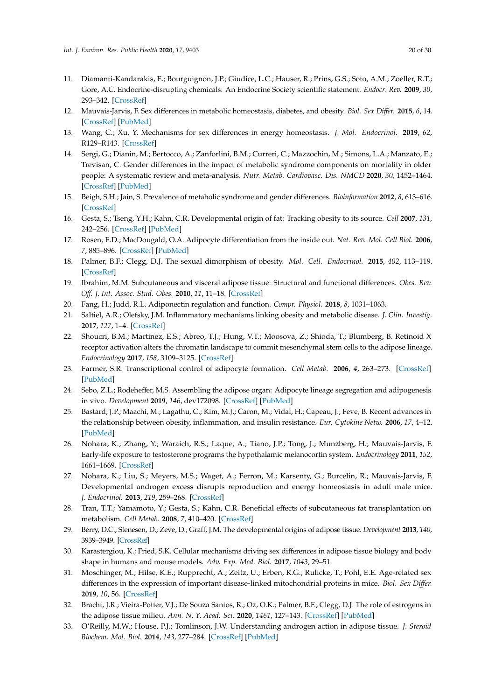- <span id="page-19-23"></span><span id="page-19-0"></span>11. Diamanti-Kandarakis, E.; Bourguignon, J.P.; Giudice, L.C.; Hauser, R.; Prins, G.S.; Soto, A.M.; Zoeller, R.T.; Gore, A.C. Endocrine-disrupting chemicals: An Endocrine Society scientific statement. *Endocr. Rev.* **2009**, *30*, 293–342. [\[CrossRef\]](http://dx.doi.org/10.1210/er.2009-0002)
- <span id="page-19-1"></span>12. Mauvais-Jarvis, F. Sex differences in metabolic homeostasis, diabetes, and obesity. *Biol. Sex Di*ff*er.* **2015**, *6*, 14. [\[CrossRef\]](http://dx.doi.org/10.1186/s13293-015-0033-y) [\[PubMed\]](http://www.ncbi.nlm.nih.gov/pubmed/26339468)
- <span id="page-19-2"></span>13. Wang, C.; Xu, Y. Mechanisms for sex differences in energy homeostasis. *J. Mol. Endocrinol.* **2019**, *62*, R129–R143. [\[CrossRef\]](http://dx.doi.org/10.1530/JME-18-0165)
- <span id="page-19-3"></span>14. Sergi, G.; Dianin, M.; Bertocco, A.; Zanforlini, B.M.; Curreri, C.; Mazzochin, M.; Simons, L.A.; Manzato, E.; Trevisan, C. Gender differences in the impact of metabolic syndrome components on mortality in older people: A systematic review and meta-analysis. *Nutr. Metab. Cardiovasc. Dis. NMCD* **2020**, *30*, 1452–1464. [\[CrossRef\]](http://dx.doi.org/10.1016/j.numecd.2020.04.034) [\[PubMed\]](http://www.ncbi.nlm.nih.gov/pubmed/32600955)
- <span id="page-19-4"></span>15. Beigh, S.H.; Jain, S. Prevalence of metabolic syndrome and gender differences. *Bioinformation* **2012**, *8*, 613–616. [\[CrossRef\]](http://dx.doi.org/10.6026/97320630008613)
- <span id="page-19-5"></span>16. Gesta, S.; Tseng, Y.H.; Kahn, C.R. Developmental origin of fat: Tracking obesity to its source. *Cell* **2007**, *131*, 242–256. [\[CrossRef\]](http://dx.doi.org/10.1016/j.cell.2007.10.004) [\[PubMed\]](http://www.ncbi.nlm.nih.gov/pubmed/17956727)
- <span id="page-19-6"></span>17. Rosen, E.D.; MacDougald, O.A. Adipocyte differentiation from the inside out. *Nat. Rev. Mol. Cell Biol.* **2006**, *7*, 885–896. [\[CrossRef\]](http://dx.doi.org/10.1038/nrm2066) [\[PubMed\]](http://www.ncbi.nlm.nih.gov/pubmed/17139329)
- <span id="page-19-7"></span>18. Palmer, B.F.; Clegg, D.J. The sexual dimorphism of obesity. *Mol. Cell. Endocrinol.* **2015**, *402*, 113–119. [\[CrossRef\]](http://dx.doi.org/10.1016/j.mce.2014.11.029)
- <span id="page-19-8"></span>19. Ibrahim, M.M. Subcutaneous and visceral adipose tissue: Structural and functional differences. *Obes. Rev. O*ff*. J. Int. Assoc. Stud. Obes.* **2010**, *11*, 11–18. [\[CrossRef\]](http://dx.doi.org/10.1111/j.1467-789X.2009.00623.x)
- <span id="page-19-9"></span>20. Fang, H.; Judd, R.L. Adiponectin regulation and function. *Compr. Physiol.* **2018**, *8*, 1031–1063.
- <span id="page-19-10"></span>21. Saltiel, A.R.; Olefsky, J.M. Inflammatory mechanisms linking obesity and metabolic disease. *J. Clin. Investig.* **2017**, *127*, 1–4. [\[CrossRef\]](http://dx.doi.org/10.1172/JCI92035)
- <span id="page-19-11"></span>22. Shoucri, B.M.; Martinez, E.S.; Abreo, T.J.; Hung, V.T.; Moosova, Z.; Shioda, T.; Blumberg, B. Retinoid X receptor activation alters the chromatin landscape to commit mesenchymal stem cells to the adipose lineage. *Endocrinology* **2017**, *158*, 3109–3125. [\[CrossRef\]](http://dx.doi.org/10.1210/en.2017-00348)
- <span id="page-19-12"></span>23. Farmer, S.R. Transcriptional control of adipocyte formation. *Cell Metab.* **2006**, *4*, 263–273. [\[CrossRef\]](http://dx.doi.org/10.1016/j.cmet.2006.07.001) [\[PubMed\]](http://www.ncbi.nlm.nih.gov/pubmed/17011499)
- <span id="page-19-22"></span><span id="page-19-13"></span>24. Sebo, Z.L.; Rodeheffer, M.S. Assembling the adipose organ: Adipocyte lineage segregation and adipogenesis in vivo. *Development* **2019**, *146*, dev172098. [\[CrossRef\]](http://dx.doi.org/10.1242/dev.172098) [\[PubMed\]](http://www.ncbi.nlm.nih.gov/pubmed/30948523)
- <span id="page-19-14"></span>25. Bastard, J.P.; Maachi, M.; Lagathu, C.; Kim, M.J.; Caron, M.; Vidal, H.; Capeau, J.; Feve, B. Recent advances in the relationship between obesity, inflammation, and insulin resistance. *Eur. Cytokine Netw.* **2006**, *17*, 4–12. [\[PubMed\]](http://www.ncbi.nlm.nih.gov/pubmed/16613757)
- <span id="page-19-15"></span>26. Nohara, K.; Zhang, Y.; Waraich, R.S.; Laque, A.; Tiano, J.P.; Tong, J.; Munzberg, H.; Mauvais-Jarvis, F. Early-life exposure to testosterone programs the hypothalamic melanocortin system. *Endocrinology* **2011**, *152*, 1661–1669. [\[CrossRef\]](http://dx.doi.org/10.1210/en.2010-1288)
- <span id="page-19-16"></span>27. Nohara, K.; Liu, S.; Meyers, M.S.; Waget, A.; Ferron, M.; Karsenty, G.; Burcelin, R.; Mauvais-Jarvis, F. Developmental androgen excess disrupts reproduction and energy homeostasis in adult male mice. *J. Endocrinol.* **2013**, *219*, 259–268. [\[CrossRef\]](http://dx.doi.org/10.1530/JOE-13-0230)
- <span id="page-19-17"></span>28. Tran, T.T.; Yamamoto, Y.; Gesta, S.; Kahn, C.R. Beneficial effects of subcutaneous fat transplantation on metabolism. *Cell Metab.* **2008**, *7*, 410–420. [\[CrossRef\]](http://dx.doi.org/10.1016/j.cmet.2008.04.004)
- 29. Berry, D.C.; Stenesen, D.; Zeve, D.; Graff, J.M. The developmental origins of adipose tissue. *Development* **2013**, *140*, 3939–3949. [\[CrossRef\]](http://dx.doi.org/10.1242/dev.080549)
- <span id="page-19-18"></span>30. Karastergiou, K.; Fried, S.K. Cellular mechanisms driving sex differences in adipose tissue biology and body shape in humans and mouse models. *Adv. Exp. Med. Biol.* **2017**, *1043*, 29–51.
- <span id="page-19-19"></span>31. Moschinger, M.; Hilse, K.E.; Rupprecht, A.; Zeitz, U.; Erben, R.G.; Rulicke, T.; Pohl, E.E. Age-related sex differences in the expression of important disease-linked mitochondrial proteins in mice. *Biol. Sex Di*ff*er.* **2019**, *10*, 56. [\[CrossRef\]](http://dx.doi.org/10.1186/s13293-019-0267-1)
- <span id="page-19-20"></span>32. Bracht, J.R.; Vieira-Potter, V.J.; De Souza Santos, R.; Oz, O.K.; Palmer, B.F.; Clegg, D.J. The role of estrogens in the adipose tissue milieu. *Ann. N. Y. Acad. Sci.* **2020**, *1461*, 127–143. [\[CrossRef\]](http://dx.doi.org/10.1111/nyas.14281) [\[PubMed\]](http://www.ncbi.nlm.nih.gov/pubmed/31868931)
- <span id="page-19-21"></span>33. O'Reilly, M.W.; House, P.J.; Tomlinson, J.W. Understanding androgen action in adipose tissue. *J. Steroid Biochem. Mol. Biol.* **2014**, *143*, 277–284. [\[CrossRef\]](http://dx.doi.org/10.1016/j.jsbmb.2014.04.008) [\[PubMed\]](http://www.ncbi.nlm.nih.gov/pubmed/24787657)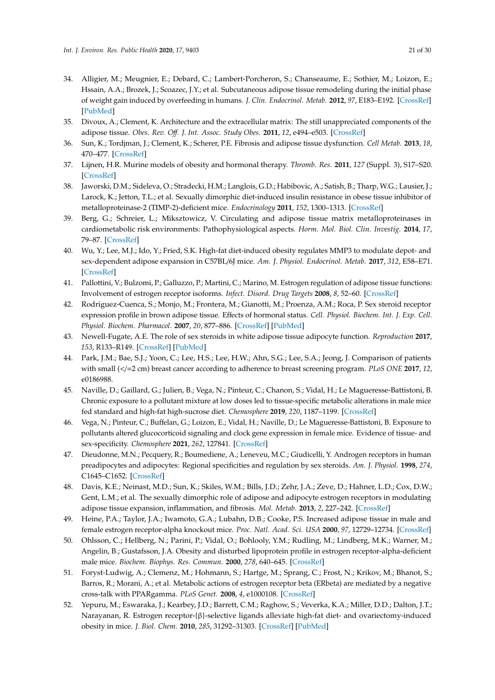- <span id="page-20-0"></span>34. Alligier, M.; Meugnier, E.; Debard, C.; Lambert-Porcheron, S.; Chanseaume, E.; Sothier, M.; Loizon, E.; Hssain, A.A.; Brozek, J.; Scoazec, J.Y.; et al. Subcutaneous adipose tissue remodeling during the initial phase of weight gain induced by overfeeding in humans. *J. Clin. Endocrinol. Metab.* **2012**, *97*, E183–E192. [\[CrossRef\]](http://dx.doi.org/10.1210/jc.2011-2314) [\[PubMed\]](http://www.ncbi.nlm.nih.gov/pubmed/22162470)
- <span id="page-20-1"></span>35. Divoux, A.; Clement, K. Architecture and the extracellular matrix: The still unappreciated components of the adipose tissue. *Obes. Rev. O*ff*. J. Int. Assoc. Study Obes.* **2011**, *12*, e494–e503. [\[CrossRef\]](http://dx.doi.org/10.1111/j.1467-789X.2010.00811.x)
- <span id="page-20-2"></span>36. Sun, K.; Tordjman, J.; Clement, K.; Scherer, P.E. Fibrosis and adipose tissue dysfunction. *Cell Metab.* **2013**, *18*, 470–477. [\[CrossRef\]](http://dx.doi.org/10.1016/j.cmet.2013.06.016)
- <span id="page-20-3"></span>37. Lijnen, H.R. Murine models of obesity and hormonal therapy. *Thromb. Res.* **2011**, *127* (Suppl. 3), S17–S20. [\[CrossRef\]](http://dx.doi.org/10.1016/S0049-3848(11)70006-8)
- <span id="page-20-4"></span>38. Jaworski, D.M.; Sideleva, O.; Stradecki, H.M.; Langlois, G.D.; Habibovic, A.; Satish, B.; Tharp, W.G.; Lausier, J.; Larock, K.; Jetton, T.L.; et al. Sexually dimorphic diet-induced insulin resistance in obese tissue inhibitor of metalloproteinase-2 (TIMP-2)-deficient mice. *Endocrinology* **2011**, *152*, 1300–1313. [\[CrossRef\]](http://dx.doi.org/10.1210/en.2010-1029)
- <span id="page-20-5"></span>39. Berg, G.; Schreier, L.; Miksztowicz, V. Circulating and adipose tissue matrix metalloproteinases in cardiometabolic risk environments: Pathophysiological aspects. *Horm. Mol. Biol. Clin. Investig.* **2014**, *17*, 79–87. [\[CrossRef\]](http://dx.doi.org/10.1515/hmbci-2013-0069)
- <span id="page-20-6"></span>40. Wu, Y.; Lee, M.J.; Ido, Y.; Fried, S.K. High-fat diet-induced obesity regulates MMP3 to modulate depot- and sex-dependent adipose expansion in C57BL/6J mice. *Am. J. Physiol. Endocrinol. Metab.* **2017**, *312*, E58–E71. [\[CrossRef\]](http://dx.doi.org/10.1152/ajpendo.00128.2016)
- <span id="page-20-7"></span>41. Pallottini, V.; Bulzomi, P.; Galluzzo, P.; Martini, C.; Marino, M. Estrogen regulation of adipose tissue functions: Involvement of estrogen receptor isoforms. *Infect. Disord. Drug Targets* **2008**, *8*, 52–60. [\[CrossRef\]](http://dx.doi.org/10.2174/187152608784139631)
- <span id="page-20-19"></span><span id="page-20-8"></span>42. Rodriguez-Cuenca, S.; Monjo, M.; Frontera, M.; Gianotti, M.; Proenza, A.M.; Roca, P. Sex steroid receptor expression profile in brown adipose tissue. Effects of hormonal status. *Cell. Physiol. Biochem. Int. J. Exp. Cell. Physiol. Biochem. Pharmacol.* **2007**, *20*, 877–886. [\[CrossRef\]](http://dx.doi.org/10.1159/000110448) [\[PubMed\]](http://www.ncbi.nlm.nih.gov/pubmed/17982270)
- <span id="page-20-9"></span>43. Newell-Fugate, A.E. The role of sex steroids in white adipose tissue adipocyte function. *Reproduction* **2017**, *153*, R133–R149. [\[CrossRef\]](http://dx.doi.org/10.1530/REP-16-0417) [\[PubMed\]](http://www.ncbi.nlm.nih.gov/pubmed/28115579)
- <span id="page-20-10"></span>44. Park, J.M.; Bae, S.J.; Yoon, C.; Lee, H.S.; Lee, H.W.; Ahn, S.G.; Lee, S.A.; Jeong, J. Comparison of patients with small (</=2 cm) breast cancer according to adherence to breast screening program. *PLoS ONE* 2017, 12, e0186988.
- <span id="page-20-11"></span>45. Naville, D.; Gaillard, G.; Julien, B.; Vega, N.; Pinteur, C.; Chanon, S.; Vidal, H.; Le Magueresse-Battistoni, B. Chronic exposure to a pollutant mixture at low doses led to tissue-specific metabolic alterations in male mice fed standard and high-fat high-sucrose diet. *Chemosphere* **2019**, *220*, 1187–1199. [\[CrossRef\]](http://dx.doi.org/10.1016/j.chemosphere.2018.12.177)
- <span id="page-20-12"></span>46. Vega, N.; Pinteur, C.; Buffelan, G.; Loizon, E.; Vidal, H.; Naville, D.; Le Magueresse-Battistoni, B. Exposure to pollutants altered glucocorticoid signaling and clock gene expression in female mice. Evidence of tissue- and sex-specificity. *Chemosphere* **2021**, *262*, 127841. [\[CrossRef\]](http://dx.doi.org/10.1016/j.chemosphere.2020.127841)
- <span id="page-20-13"></span>47. Dieudonne, M.N.; Pecquery, R.; Boumediene, A.; Leneveu, M.C.; Giudicelli, Y. Androgen receptors in human preadipocytes and adipocytes: Regional specificities and regulation by sex steroids. *Am. J. Physiol.* **1998**, *274*, C1645–C1652. [\[CrossRef\]](http://dx.doi.org/10.1152/ajpcell.1998.274.6.C1645)
- <span id="page-20-14"></span>48. Davis, K.E.; Neinast, M.D.; Sun, K.; Skiles, W.M.; Bills, J.D.; Zehr, J.A.; Zeve, D.; Hahner, L.D.; Cox, D.W.; Gent, L.M.; et al. The sexually dimorphic role of adipose and adipocyte estrogen receptors in modulating adipose tissue expansion, inflammation, and fibrosis. *Mol. Metab.* **2013**, *2*, 227–242. [\[CrossRef\]](http://dx.doi.org/10.1016/j.molmet.2013.05.006)
- <span id="page-20-15"></span>49. Heine, P.A.; Taylor, J.A.; Iwamoto, G.A.; Lubahn, D.B.; Cooke, P.S. Increased adipose tissue in male and female estrogen receptor-alpha knockout mice. *Proc. Natl. Acad. Sci. USA* **2000**, *97*, 12729–12734. [\[CrossRef\]](http://dx.doi.org/10.1073/pnas.97.23.12729)
- <span id="page-20-16"></span>50. Ohlsson, C.; Hellberg, N.; Parini, P.; Vidal, O.; Bohlooly, Y.M.; Rudling, M.; Lindberg, M.K.; Warner, M.; Angelin, B.; Gustafsson, J.A. Obesity and disturbed lipoprotein profile in estrogen receptor-alpha-deficient male mice. *Biochem. Biophys. Res. Commun.* **2000**, *278*, 640–645. [\[CrossRef\]](http://dx.doi.org/10.1006/bbrc.2000.3827)
- <span id="page-20-17"></span>51. Foryst-Ludwig, A.; Clemenz, M.; Hohmann, S.; Hartge, M.; Sprang, C.; Frost, N.; Krikov, M.; Bhanot, S.; Barros, R.; Morani, A.; et al. Metabolic actions of estrogen receptor beta (ERbeta) are mediated by a negative cross-talk with PPARgamma. *PLoS Genet.* **2008**, *4*, e1000108. [\[CrossRef\]](http://dx.doi.org/10.1371/journal.pgen.1000108)
- <span id="page-20-18"></span>52. Yepuru, M.; Eswaraka, J.; Kearbey, J.D.; Barrett, C.M.; Raghow, S.; Veverka, K.A.; Miller, D.D.; Dalton, J.T.; Narayanan, R. Estrogen receptor-{β}-selective ligands alleviate high-fat diet- and ovariectomy-induced obesity in mice. *J. Biol. Chem.* **2010**, *285*, 31292–31303. [\[CrossRef\]](http://dx.doi.org/10.1074/jbc.M110.147850) [\[PubMed\]](http://www.ncbi.nlm.nih.gov/pubmed/20657011)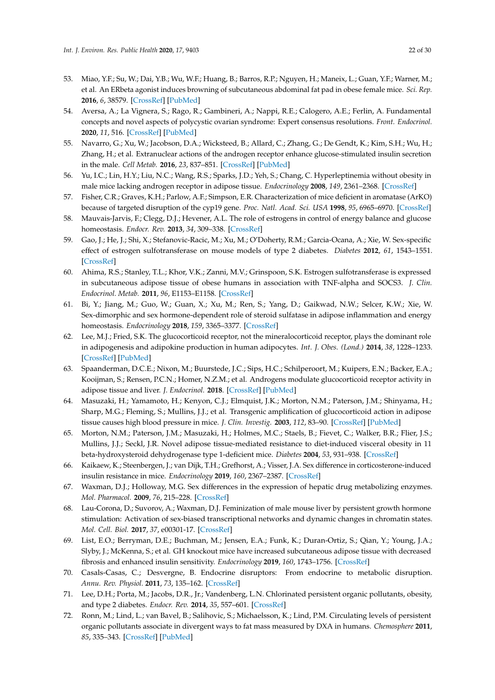- <span id="page-21-21"></span><span id="page-21-20"></span><span id="page-21-19"></span><span id="page-21-18"></span><span id="page-21-17"></span><span id="page-21-0"></span>53. Miao, Y.F.; Su, W.; Dai, Y.B.; Wu, W.F.; Huang, B.; Barros, R.P.; Nguyen, H.; Maneix, L.; Guan, Y.F.; Warner, M.; et al. An ERbeta agonist induces browning of subcutaneous abdominal fat pad in obese female mice. *Sci. Rep.* **2016**, *6*, 38579. [\[CrossRef\]](http://dx.doi.org/10.1038/srep38579) [\[PubMed\]](http://www.ncbi.nlm.nih.gov/pubmed/27922125)
- <span id="page-21-1"></span>54. Aversa, A.; La Vignera, S.; Rago, R.; Gambineri, A.; Nappi, R.E.; Calogero, A.E.; Ferlin, A. Fundamental concepts and novel aspects of polycystic ovarian syndrome: Expert consensus resolutions. *Front. Endocrinol.* **2020**, *11*, 516. [\[CrossRef\]](http://dx.doi.org/10.3389/fendo.2020.00516) [\[PubMed\]](http://www.ncbi.nlm.nih.gov/pubmed/32849300)
- <span id="page-21-2"></span>55. Navarro, G.; Xu, W.; Jacobson, D.A.; Wicksteed, B.; Allard, C.; Zhang, G.; De Gendt, K.; Kim, S.H.; Wu, H.; Zhang, H.; et al. Extranuclear actions of the androgen receptor enhance glucose-stimulated insulin secretion in the male. *Cell Metab.* **2016**, *23*, 837–851. [\[CrossRef\]](http://dx.doi.org/10.1016/j.cmet.2016.03.015) [\[PubMed\]](http://www.ncbi.nlm.nih.gov/pubmed/27133133)
- <span id="page-21-3"></span>56. Yu, I.C.; Lin, H.Y.; Liu, N.C.; Wang, R.S.; Sparks, J.D.; Yeh, S.; Chang, C. Hyperleptinemia without obesity in male mice lacking androgen receptor in adipose tissue. *Endocrinology* **2008**, *149*, 2361–2368. [\[CrossRef\]](http://dx.doi.org/10.1210/en.2007-0516)
- <span id="page-21-22"></span><span id="page-21-4"></span>57. Fisher, C.R.; Graves, K.H.; Parlow, A.F.; Simpson, E.R. Characterization of mice deficient in aromatase (ArKO) because of targeted disruption of the cyp19 gene. *Proc. Natl. Acad. Sci. USA* **1998**, *95*, 6965–6970. [\[CrossRef\]](http://dx.doi.org/10.1073/pnas.95.12.6965)
- <span id="page-21-23"></span><span id="page-21-5"></span>58. Mauvais-Jarvis, F.; Clegg, D.J.; Hevener, A.L. The role of estrogens in control of energy balance and glucose homeostasis. *Endocr. Rev.* **2013**, *34*, 309–338. [\[CrossRef\]](http://dx.doi.org/10.1210/er.2012-1055)
- <span id="page-21-6"></span>59. Gao, J.; He, J.; Shi, X.; Stefanovic-Racic, M.; Xu, M.; O'Doherty, R.M.; Garcia-Ocana, A.; Xie, W. Sex-specific effect of estrogen sulfotransferase on mouse models of type 2 diabetes. *Diabetes* **2012**, *61*, 1543–1551. [\[CrossRef\]](http://dx.doi.org/10.2337/db11-1152)
- <span id="page-21-7"></span>60. Ahima, R.S.; Stanley, T.L.; Khor, V.K.; Zanni, M.V.; Grinspoon, S.K. Estrogen sulfotransferase is expressed in subcutaneous adipose tissue of obese humans in association with TNF-alpha and SOCS3. *J. Clin. Endocrinol. Metab.* **2011**, *96*, E1153–E1158. [\[CrossRef\]](http://dx.doi.org/10.1210/jc.2010-2903)
- <span id="page-21-8"></span>61. Bi, Y.; Jiang, M.; Guo, W.; Guan, X.; Xu, M.; Ren, S.; Yang, D.; Gaikwad, N.W.; Selcer, K.W.; Xie, W. Sex-dimorphic and sex hormone-dependent role of steroid sulfatase in adipose inflammation and energy homeostasis. *Endocrinology* **2018**, *159*, 3365–3377. [\[CrossRef\]](http://dx.doi.org/10.1210/en.2018-00531)
- <span id="page-21-24"></span><span id="page-21-9"></span>62. Lee, M.J.; Fried, S.K. The glucocorticoid receptor, not the mineralocorticoid receptor, plays the dominant role in adipogenesis and adipokine production in human adipocytes. *Int. J. Obes. (Lond.)* **2014**, *38*, 1228–1233. [\[CrossRef\]](http://dx.doi.org/10.1038/ijo.2014.6) [\[PubMed\]](http://www.ncbi.nlm.nih.gov/pubmed/24430397)
- <span id="page-21-27"></span><span id="page-21-10"></span>63. Spaanderman, D.C.E.; Nixon, M.; Buurstede, J.C.; Sips, H.C.; Schilperoort, M.; Kuipers, E.N.; Backer, E.A.; Kooijman, S.; Rensen, P.C.N.; Homer, N.Z.M.; et al. Androgens modulate glucocorticoid receptor activity in adipose tissue and liver. *J. Endocrinol.* **2018**. [\[CrossRef\]](http://dx.doi.org/10.1530/JOE-18-0503) [\[PubMed\]](http://www.ncbi.nlm.nih.gov/pubmed/30400038)
- <span id="page-21-11"></span>64. Masuzaki, H.; Yamamoto, H.; Kenyon, C.J.; Elmquist, J.K.; Morton, N.M.; Paterson, J.M.; Shinyama, H.; Sharp, M.G.; Fleming, S.; Mullins, J.J.; et al. Transgenic amplification of glucocorticoid action in adipose tissue causes high blood pressure in mice. *J. Clin. Investig.* **2003**, *112*, 83–90. [\[CrossRef\]](http://dx.doi.org/10.1172/JCI17845) [\[PubMed\]](http://www.ncbi.nlm.nih.gov/pubmed/12840062)
- <span id="page-21-12"></span>65. Morton, N.M.; Paterson, J.M.; Masuzaki, H.; Holmes, M.C.; Staels, B.; Fievet, C.; Walker, B.R.; Flier, J.S.; Mullins, J.J.; Seckl, J.R. Novel adipose tissue-mediated resistance to diet-induced visceral obesity in 11 beta-hydroxysteroid dehydrogenase type 1-deficient mice. *Diabetes* **2004**, *53*, 931–938. [\[CrossRef\]](http://dx.doi.org/10.2337/diabetes.53.4.931)
- <span id="page-21-13"></span>66. Kaikaew, K.; Steenbergen, J.; van Dijk, T.H.; Grefhorst, A.; Visser, J.A. Sex difference in corticosterone-induced insulin resistance in mice. *Endocrinology* **2019**, *160*, 2367–2387. [\[CrossRef\]](http://dx.doi.org/10.1210/en.2019-00194)
- <span id="page-21-14"></span>67. Waxman, D.J.; Holloway, M.G. Sex differences in the expression of hepatic drug metabolizing enzymes. *Mol. Pharmacol.* **2009**, *76*, 215–228. [\[CrossRef\]](http://dx.doi.org/10.1124/mol.109.056705)
- <span id="page-21-15"></span>68. Lau-Corona, D.; Suvorov, A.; Waxman, D.J. Feminization of male mouse liver by persistent growth hormone stimulation: Activation of sex-biased transcriptional networks and dynamic changes in chromatin states. *Mol. Cell. Biol.* **2017**, *37*, e00301-17. [\[CrossRef\]](http://dx.doi.org/10.1128/MCB.00301-17)
- <span id="page-21-16"></span>69. List, E.O.; Berryman, D.E.; Buchman, M.; Jensen, E.A.; Funk, K.; Duran-Ortiz, S.; Qian, Y.; Young, J.A.; Slyby, J.; McKenna, S.; et al. GH knockout mice have increased subcutaneous adipose tissue with decreased fibrosis and enhanced insulin sensitivity. *Endocrinology* **2019**, *160*, 1743–1756. [\[CrossRef\]](http://dx.doi.org/10.1210/en.2019-00167)
- <span id="page-21-25"></span>70. Casals-Casas, C.; Desvergne, B. Endocrine disruptors: From endocrine to metabolic disruption. *Annu. Rev. Physiol.* **2011**, *73*, 135–162. [\[CrossRef\]](http://dx.doi.org/10.1146/annurev-physiol-012110-142200)
- <span id="page-21-26"></span>71. Lee, D.H.; Porta, M.; Jacobs, D.R., Jr.; Vandenberg, L.N. Chlorinated persistent organic pollutants, obesity, and type 2 diabetes. *Endocr. Rev.* **2014**, *35*, 557–601. [\[CrossRef\]](http://dx.doi.org/10.1210/er.2013-1084)
- 72. Ronn, M.; Lind, L.; van Bavel, B.; Salihovic, S.; Michaelsson, K.; Lind, P.M. Circulating levels of persistent organic pollutants associate in divergent ways to fat mass measured by DXA in humans. *Chemosphere* **2011**, *85*, 335–343. [\[CrossRef\]](http://dx.doi.org/10.1016/j.chemosphere.2011.06.095) [\[PubMed\]](http://www.ncbi.nlm.nih.gov/pubmed/21767864)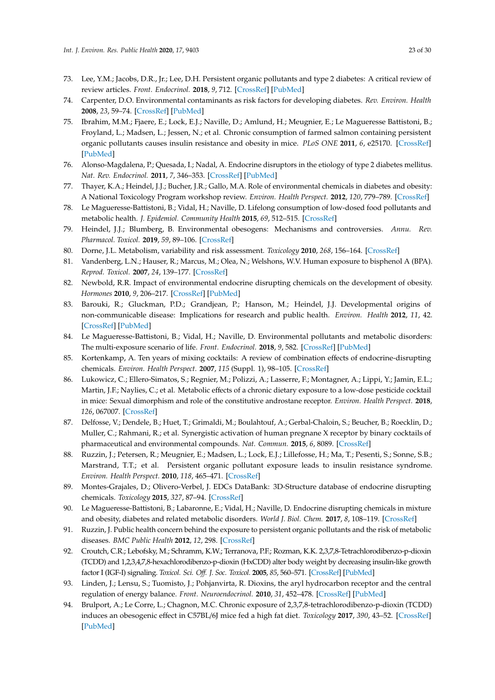- <span id="page-22-0"></span>73. Lee, Y.M.; Jacobs, D.R., Jr.; Lee, D.H. Persistent organic pollutants and type 2 diabetes: A critical review of review articles. *Front. Endocrinol.* **2018**, *9*, 712. [\[CrossRef\]](http://dx.doi.org/10.3389/fendo.2018.00712) [\[PubMed\]](http://www.ncbi.nlm.nih.gov/pubmed/30542326)
- <span id="page-22-1"></span>74. Carpenter, D.O. Environmental contaminants as risk factors for developing diabetes. *Rev. Environ. Health* **2008**, *23*, 59–74. [\[CrossRef\]](http://dx.doi.org/10.1515/REVEH.2008.23.1.59) [\[PubMed\]](http://www.ncbi.nlm.nih.gov/pubmed/18557598)
- <span id="page-22-7"></span>75. Ibrahim, M.M.; Fjaere, E.; Lock, E.J.; Naville, D.; Amlund, H.; Meugnier, E.; Le Magueresse Battistoni, B.; Froyland, L.; Madsen, L.; Jessen, N.; et al. Chronic consumption of farmed salmon containing persistent organic pollutants causes insulin resistance and obesity in mice. *PLoS ONE* **2011**, *6*, e25170. [\[CrossRef\]](http://dx.doi.org/10.1371/journal.pone.0025170) [\[PubMed\]](http://www.ncbi.nlm.nih.gov/pubmed/21966444)
- 76. Alonso-Magdalena, P.; Quesada, I.; Nadal, A. Endocrine disruptors in the etiology of type 2 diabetes mellitus. *Nat. Rev. Endocrinol.* **2011**, *7*, 346–353. [\[CrossRef\]](http://dx.doi.org/10.1038/nrendo.2011.56) [\[PubMed\]](http://www.ncbi.nlm.nih.gov/pubmed/21467970)
- 77. Thayer, K.A.; Heindel, J.J.; Bucher, J.R.; Gallo, M.A. Role of environmental chemicals in diabetes and obesity: A National Toxicology Program workshop review. *Environ. Health Perspect.* **2012**, *120*, 779–789. [\[CrossRef\]](http://dx.doi.org/10.1289/ehp.1104597)
- 78. Le Magueresse-Battistoni, B.; Vidal, H.; Naville, D. Lifelong consumption of low-dosed food pollutants and metabolic health. *J. Epidemiol. Community Health* **2015**, *69*, 512–515. [\[CrossRef\]](http://dx.doi.org/10.1136/jech-2014-203913)
- <span id="page-22-2"></span>79. Heindel, J.J.; Blumberg, B. Environmental obesogens: Mechanisms and controversies. *Annu. Rev. Pharmacol. Toxicol.* **2019**, *59*, 89–106. [\[CrossRef\]](http://dx.doi.org/10.1146/annurev-pharmtox-010818-021304)
- <span id="page-22-3"></span>80. Dorne, J.L. Metabolism, variability and risk assessment. *Toxicology* **2010**, *268*, 156–164. [\[CrossRef\]](http://dx.doi.org/10.1016/j.tox.2009.11.004)
- <span id="page-22-4"></span>81. Vandenberg, L.N.; Hauser, R.; Marcus, M.; Olea, N.; Welshons, W.V. Human exposure to bisphenol A (BPA). *Reprod. Toxicol.* **2007**, *24*, 139–177. [\[CrossRef\]](http://dx.doi.org/10.1016/j.reprotox.2007.07.010)
- <span id="page-22-5"></span>82. Newbold, R.R. Impact of environmental endocrine disrupting chemicals on the development of obesity. *Hormones* **2010**, *9*, 206–217. [\[CrossRef\]](http://dx.doi.org/10.14310/horm.2002.1271) [\[PubMed\]](http://www.ncbi.nlm.nih.gov/pubmed/20688618)
- <span id="page-22-17"></span><span id="page-22-6"></span>83. Barouki, R.; Gluckman, P.D.; Grandjean, P.; Hanson, M.; Heindel, J.J. Developmental origins of non-communicable disease: Implications for research and public health. *Environ. Health* **2012**, *11*, 42. [\[CrossRef\]](http://dx.doi.org/10.1186/1476-069X-11-42) [\[PubMed\]](http://www.ncbi.nlm.nih.gov/pubmed/22715989)
- <span id="page-22-8"></span>84. Le Magueresse-Battistoni, B.; Vidal, H.; Naville, D. Environmental pollutants and metabolic disorders: The multi-exposure scenario of life. *Front. Endocrinol.* **2018**, *9*, 582. [\[CrossRef\]](http://dx.doi.org/10.3389/fendo.2018.00582) [\[PubMed\]](http://www.ncbi.nlm.nih.gov/pubmed/30333793)
- 85. Kortenkamp, A. Ten years of mixing cocktails: A review of combination effects of endocrine-disrupting chemicals. *Environ. Health Perspect.* **2007**, *115* (Suppl. 1), 98–105. [\[CrossRef\]](http://dx.doi.org/10.1289/ehp.9357)
- <span id="page-22-16"></span>86. Lukowicz, C.; Ellero-Simatos, S.; Regnier, M.; Polizzi, A.; Lasserre, F.; Montagner, A.; Lippi, Y.; Jamin, E.L.; Martin, J.F.; Naylies, C.; et al. Metabolic effects of a chronic dietary exposure to a low-dose pesticide cocktail in mice: Sexual dimorphism and role of the constitutive androstane receptor. *Environ. Health Perspect.* **2018**, *126*, 067007. [\[CrossRef\]](http://dx.doi.org/10.1289/EHP2877)
- 87. Delfosse, V.; Dendele, B.; Huet, T.; Grimaldi, M.; Boulahtouf, A.; Gerbal-Chaloin, S.; Beucher, B.; Roecklin, D.; Muller, C.; Rahmani, R.; et al. Synergistic activation of human pregnane X receptor by binary cocktails of pharmaceutical and environmental compounds. *Nat. Commun.* **2015**, *6*, 8089. [\[CrossRef\]](http://dx.doi.org/10.1038/ncomms9089)
- <span id="page-22-9"></span>88. Ruzzin, J.; Petersen, R.; Meugnier, E.; Madsen, L.; Lock, E.J.; Lillefosse, H.; Ma, T.; Pesenti, S.; Sonne, S.B.; Marstrand, T.T.; et al. Persistent organic pollutant exposure leads to insulin resistance syndrome. *Environ. Health Perspect.* **2010**, *118*, 465–471. [\[CrossRef\]](http://dx.doi.org/10.1289/ehp.0901321)
- <span id="page-22-10"></span>89. Montes-Grajales, D.; Olivero-Verbel, J. EDCs DataBank: 3D-Structure database of endocrine disrupting chemicals. *Toxicology* **2015**, *327*, 87–94. [\[CrossRef\]](http://dx.doi.org/10.1016/j.tox.2014.11.006)
- <span id="page-22-11"></span>90. Le Magueresse-Battistoni, B.; Labaronne, E.; Vidal, H.; Naville, D. Endocrine disrupting chemicals in mixture and obesity, diabetes and related metabolic disorders. *World J. Biol. Chem.* **2017**, *8*, 108–119. [\[CrossRef\]](http://dx.doi.org/10.4331/wjbc.v8.i2.108)
- <span id="page-22-12"></span>91. Ruzzin, J. Public health concern behind the exposure to persistent organic pollutants and the risk of metabolic diseases. *BMC Public Health* **2012**, *12*, 298. [\[CrossRef\]](http://dx.doi.org/10.1186/1471-2458-12-298)
- <span id="page-22-13"></span>92. Croutch, C.R.; Lebofsky, M.; Schramm, K.W.; Terranova, P.F.; Rozman, K.K. 2,3,7,8-Tetrachlorodibenzo-p-dioxin (TCDD) and 1,2,3,4,7,8-hexachlorodibenzo-p-dioxin (HxCDD) alter body weight by decreasing insulin-like growth factor I (IGF-I) signaling. *Toxicol. Sci. Off. J. Soc. Toxicol.* **2005**, *85*, 560–571. [\[CrossRef\]](http://dx.doi.org/10.1093/toxsci/kfi106) [\[PubMed\]](http://www.ncbi.nlm.nih.gov/pubmed/15703265)
- <span id="page-22-14"></span>93. Linden, J.; Lensu, S.; Tuomisto, J.; Pohjanvirta, R. Dioxins, the aryl hydrocarbon receptor and the central regulation of energy balance. *Front. Neuroendocrinol.* **2010**, *31*, 452–478. [\[CrossRef\]](http://dx.doi.org/10.1016/j.yfrne.2010.07.002) [\[PubMed\]](http://www.ncbi.nlm.nih.gov/pubmed/20624415)
- <span id="page-22-15"></span>94. Brulport, A.; Le Corre, L.; Chagnon, M.C. Chronic exposure of 2,3,7,8-tetrachlorodibenzo-p-dioxin (TCDD) induces an obesogenic effect in C57BL/6J mice fed a high fat diet. *Toxicology* **2017**, *390*, 43–52. [\[CrossRef\]](http://dx.doi.org/10.1016/j.tox.2017.07.017) [\[PubMed\]](http://www.ncbi.nlm.nih.gov/pubmed/28774668)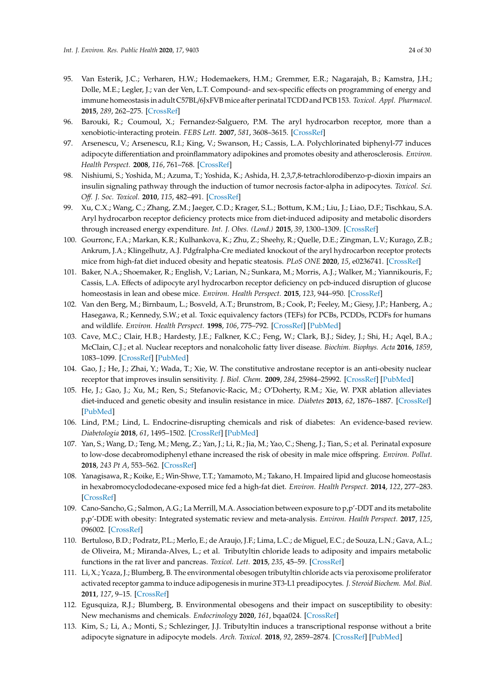- <span id="page-23-20"></span><span id="page-23-19"></span><span id="page-23-18"></span><span id="page-23-0"></span>95. Van Esterik, J.C.; Verharen, H.W.; Hodemaekers, H.M.; Gremmer, E.R.; Nagarajah, B.; Kamstra, J.H.; Dolle, M.E.; Legler, J.; van der Ven, L.T. Compound- and sex-specific effects on programming of energy and immune homeostasis in adult C57BL/6JxFVB mice after perinatal TCDD and PCB 153. *Toxicol. Appl. Pharmacol.* **2015**, *289*, 262–275. [\[CrossRef\]](http://dx.doi.org/10.1016/j.taap.2015.09.017)
- <span id="page-23-1"></span>96. Barouki, R.; Coumoul, X.; Fernandez-Salguero, P.M. The aryl hydrocarbon receptor, more than a xenobiotic-interacting protein. *FEBS Lett.* **2007**, *581*, 3608–3615. [\[CrossRef\]](http://dx.doi.org/10.1016/j.febslet.2007.03.046)
- <span id="page-23-2"></span>97. Arsenescu, V.; Arsenescu, R.I.; King, V.; Swanson, H.; Cassis, L.A. Polychlorinated biphenyl-77 induces adipocyte differentiation and proinflammatory adipokines and promotes obesity and atherosclerosis. *Environ. Health Perspect.* **2008**, *116*, 761–768. [\[CrossRef\]](http://dx.doi.org/10.1289/ehp.10554)
- <span id="page-23-22"></span><span id="page-23-21"></span><span id="page-23-3"></span>98. Nishiumi, S.; Yoshida, M.; Azuma, T.; Yoshida, K.; Ashida, H. 2,3,7,8-tetrachlorodibenzo-p-dioxin impairs an insulin signaling pathway through the induction of tumor necrosis factor-alpha in adipocytes. *Toxicol. Sci. O*ff*. J. Soc. Toxicol.* **2010**, *115*, 482–491. [\[CrossRef\]](http://dx.doi.org/10.1093/toxsci/kfq052)
- <span id="page-23-24"></span><span id="page-23-4"></span>99. Xu, C.X.; Wang, C.; Zhang, Z.M.; Jaeger, C.D.; Krager, S.L.; Bottum, K.M.; Liu, J.; Liao, D.F.; Tischkau, S.A. Aryl hydrocarbon receptor deficiency protects mice from diet-induced adiposity and metabolic disorders through increased energy expenditure. *Int. J. Obes. (Lond.)* **2015**, *39*, 1300–1309. [\[CrossRef\]](http://dx.doi.org/10.1038/ijo.2015.63)
- <span id="page-23-5"></span>100. Gourronc, F.A.; Markan, K.R.; Kulhankova, K.; Zhu, Z.; Sheehy, R.; Quelle, D.E.; Zingman, L.V.; Kurago, Z.B.; Ankrum, J.A.; Klingelhutz, A.J. Pdgfralpha-Cre mediated knockout of the aryl hydrocarbon receptor protects mice from high-fat diet induced obesity and hepatic steatosis. *PLoS ONE* **2020**, *15*, e0236741. [\[CrossRef\]](http://dx.doi.org/10.1371/journal.pone.0236741)
- <span id="page-23-6"></span>101. Baker, N.A.; Shoemaker, R.; English, V.; Larian, N.; Sunkara, M.; Morris, A.J.; Walker, M.; Yiannikouris, F.; Cassis, L.A. Effects of adipocyte aryl hydrocarbon receptor deficiency on pcb-induced disruption of glucose homeostasis in lean and obese mice. *Environ. Health Perspect.* **2015**, *123*, 944–950. [\[CrossRef\]](http://dx.doi.org/10.1289/ehp.1408594)
- <span id="page-23-7"></span>102. Van den Berg, M.; Birnbaum, L.; Bosveld, A.T.; Brunstrom, B.; Cook, P.; Feeley, M.; Giesy, J.P.; Hanberg, A.; Hasegawa, R.; Kennedy, S.W.; et al. Toxic equivalency factors (TEFs) for PCBs, PCDDs, PCDFs for humans and wildlife. *Environ. Health Perspect.* **1998**, *106*, 775–792. [\[CrossRef\]](http://dx.doi.org/10.1289/ehp.98106775) [\[PubMed\]](http://www.ncbi.nlm.nih.gov/pubmed/9831538)
- <span id="page-23-23"></span><span id="page-23-8"></span>103. Cave, M.C.; Clair, H.B.; Hardesty, J.E.; Falkner, K.C.; Feng, W.; Clark, B.J.; Sidey, J.; Shi, H.; Aqel, B.A.; McClain, C.J.; et al. Nuclear receptors and nonalcoholic fatty liver disease. *Biochim. Biophys. Acta* **2016**, *1859*, 1083–1099. [\[CrossRef\]](http://dx.doi.org/10.1016/j.bbagrm.2016.03.002) [\[PubMed\]](http://www.ncbi.nlm.nih.gov/pubmed/26962021)
- <span id="page-23-9"></span>104. Gao, J.; He, J.; Zhai, Y.; Wada, T.; Xie, W. The constitutive androstane receptor is an anti-obesity nuclear receptor that improves insulin sensitivity. *J. Biol. Chem.* **2009**, *284*, 25984–25992. [\[CrossRef\]](http://dx.doi.org/10.1074/jbc.M109.016808) [\[PubMed\]](http://www.ncbi.nlm.nih.gov/pubmed/19617349)
- <span id="page-23-10"></span>105. He, J.; Gao, J.; Xu, M.; Ren, S.; Stefanovic-Racic, M.; O'Doherty, R.M.; Xie, W. PXR ablation alleviates diet-induced and genetic obesity and insulin resistance in mice. *Diabetes* **2013**, *62*, 1876–1887. [\[CrossRef\]](http://dx.doi.org/10.2337/db12-1039) [\[PubMed\]](http://www.ncbi.nlm.nih.gov/pubmed/23349477)
- <span id="page-23-11"></span>106. Lind, P.M.; Lind, L. Endocrine-disrupting chemicals and risk of diabetes: An evidence-based review. *Diabetologia* **2018**, *61*, 1495–1502. [\[CrossRef\]](http://dx.doi.org/10.1007/s00125-018-4621-3) [\[PubMed\]](http://www.ncbi.nlm.nih.gov/pubmed/29744538)
- <span id="page-23-12"></span>107. Yan, S.; Wang, D.; Teng, M.; Meng, Z.; Yan, J.; Li, R.; Jia, M.; Yao, C.; Sheng, J.; Tian, S.; et al. Perinatal exposure to low-dose decabromodiphenyl ethane increased the risk of obesity in male mice offspring. *Environ. Pollut.* **2018**, *243 Pt A*, 553–562. [\[CrossRef\]](http://dx.doi.org/10.1016/j.envpol.2018.08.082)
- <span id="page-23-13"></span>108. Yanagisawa, R.; Koike, E.; Win-Shwe, T.T.; Yamamoto, M.; Takano, H. Impaired lipid and glucose homeostasis in hexabromocyclododecane-exposed mice fed a high-fat diet. *Environ. Health Perspect.* **2014**, *122*, 277–283. [\[CrossRef\]](http://dx.doi.org/10.1289/ehp.1307421)
- <span id="page-23-14"></span>109. Cano-Sancho, G.; Salmon, A.G.; La Merrill, M.A. Association between exposure to p,p'-DDT and its metabolite p,p'-DDE with obesity: Integrated systematic review and meta-analysis. *Environ. Health Perspect.* **2017**, *125*, 096002. [\[CrossRef\]](http://dx.doi.org/10.1289/EHP527)
- <span id="page-23-15"></span>110. Bertuloso, B.D.; Podratz, P.L.; Merlo, E.; de Araujo, J.F.; Lima, L.C.; de Miguel, E.C.; de Souza, L.N.; Gava, A.L.; de Oliveira, M.; Miranda-Alves, L.; et al. Tributyltin chloride leads to adiposity and impairs metabolic functions in the rat liver and pancreas. *Toxicol. Lett.* **2015**, *235*, 45–59. [\[CrossRef\]](http://dx.doi.org/10.1016/j.toxlet.2015.03.009)
- 111. Li, X.; Ycaza, J.; Blumberg, B. The environmental obesogen tributyltin chloride acts via peroxisome proliferator activated receptor gamma to induce adipogenesis in murine 3T3-L1 preadipocytes. *J. Steroid Biochem. Mol. Biol.* **2011**, *127*, 9–15. [\[CrossRef\]](http://dx.doi.org/10.1016/j.jsbmb.2011.03.012)
- <span id="page-23-16"></span>112. Egusquiza, R.J.; Blumberg, B. Environmental obesogens and their impact on susceptibility to obesity: New mechanisms and chemicals. *Endocrinology* **2020**, *161*, bqaa024. [\[CrossRef\]](http://dx.doi.org/10.1210/endocr/bqaa024)
- <span id="page-23-17"></span>113. Kim, S.; Li, A.; Monti, S.; Schlezinger, J.J. Tributyltin induces a transcriptional response without a brite adipocyte signature in adipocyte models. *Arch. Toxicol.* **2018**, *92*, 2859–2874. [\[CrossRef\]](http://dx.doi.org/10.1007/s00204-018-2268-y) [\[PubMed\]](http://www.ncbi.nlm.nih.gov/pubmed/30027469)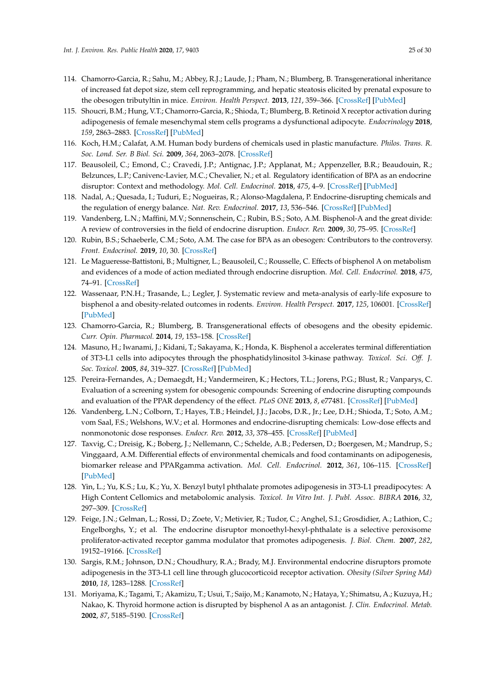- <span id="page-24-20"></span><span id="page-24-15"></span><span id="page-24-0"></span>114. Chamorro-Garcia, R.; Sahu, M.; Abbey, R.J.; Laude, J.; Pham, N.; Blumberg, B. Transgenerational inheritance of increased fat depot size, stem cell reprogramming, and hepatic steatosis elicited by prenatal exposure to the obesogen tributyltin in mice. *Environ. Health Perspect.* **2013**, *121*, 359–366. [\[CrossRef\]](http://dx.doi.org/10.1289/ehp.1205701) [\[PubMed\]](http://www.ncbi.nlm.nih.gov/pubmed/23322813)
- <span id="page-24-17"></span><span id="page-24-1"></span>115. Shoucri, B.M.; Hung, V.T.; Chamorro-Garcia, R.; Shioda, T.; Blumberg, B. Retinoid X receptor activation during adipogenesis of female mesenchymal stem cells programs a dysfunctional adipocyte. *Endocrinology* **2018**, *159*, 2863–2883. [\[CrossRef\]](http://dx.doi.org/10.1210/en.2018-00056) [\[PubMed\]](http://www.ncbi.nlm.nih.gov/pubmed/29860300)
- <span id="page-24-2"></span>116. Koch, H.M.; Calafat, A.M. Human body burdens of chemicals used in plastic manufacture. *Philos. Trans. R. Soc. Lond. Ser. B Biol. Sci.* **2009**, *364*, 2063–2078. [\[CrossRef\]](http://dx.doi.org/10.1098/rstb.2008.0208)
- <span id="page-24-18"></span><span id="page-24-3"></span>117. Beausoleil, C.; Emond, C.; Cravedi, J.P.; Antignac, J.P.; Applanat, M.; Appenzeller, B.R.; Beaudouin, R.; Belzunces, L.P.; Canivenc-Lavier, M.C.; Chevalier, N.; et al. Regulatory identification of BPA as an endocrine disruptor: Context and methodology. *Mol. Cell. Endocrinol.* **2018**, *475*, 4–9. [\[CrossRef\]](http://dx.doi.org/10.1016/j.mce.2018.02.001) [\[PubMed\]](http://www.ncbi.nlm.nih.gov/pubmed/29426018)
- <span id="page-24-21"></span>118. Nadal, A.; Quesada, I.; Tuduri, E.; Nogueiras, R.; Alonso-Magdalena, P. Endocrine-disrupting chemicals and the regulation of energy balance. *Nat. Rev. Endocrinol.* **2017**, *13*, 536–546. [\[CrossRef\]](http://dx.doi.org/10.1038/nrendo.2017.51) [\[PubMed\]](http://www.ncbi.nlm.nih.gov/pubmed/28524168)
- <span id="page-24-14"></span>119. Vandenberg, L.N.; Maffini, M.V.; Sonnenschein, C.; Rubin, B.S.; Soto, A.M. Bisphenol-A and the great divide: A review of controversies in the field of endocrine disruption. *Endocr. Rev.* **2009**, *30*, 75–95. [\[CrossRef\]](http://dx.doi.org/10.1210/er.2008-0021)
- <span id="page-24-19"></span><span id="page-24-4"></span>120. Rubin, B.S.; Schaeberle, C.M.; Soto, A.M. The case for BPA as an obesogen: Contributors to the controversy. *Front. Endocrinol.* **2019**, *10*, 30. [\[CrossRef\]](http://dx.doi.org/10.3389/fendo.2019.00030)
- <span id="page-24-5"></span>121. Le Magueresse-Battistoni, B.; Multigner, L.; Beausoleil, C.; Rousselle, C. Effects of bisphenol A on metabolism and evidences of a mode of action mediated through endocrine disruption. *Mol. Cell. Endocrinol.* **2018**, *475*, 74–91. [\[CrossRef\]](http://dx.doi.org/10.1016/j.mce.2018.02.009)
- <span id="page-24-6"></span>122. Wassenaar, P.N.H.; Trasande, L.; Legler, J. Systematic review and meta-analysis of early-life exposure to bisphenol a and obesity-related outcomes in rodents. *Environ. Health Perspect.* **2017**, *125*, 106001. [\[CrossRef\]](http://dx.doi.org/10.1289/EHP1233) [\[PubMed\]](http://www.ncbi.nlm.nih.gov/pubmed/28982642)
- <span id="page-24-7"></span>123. Chamorro-Garcia, R.; Blumberg, B. Transgenerational effects of obesogens and the obesity epidemic. *Curr. Opin. Pharmacol.* **2014**, *19*, 153–158. [\[CrossRef\]](http://dx.doi.org/10.1016/j.coph.2014.10.010)
- <span id="page-24-16"></span>124. Masuno, H.; Iwanami, J.; Kidani, T.; Sakayama, K.; Honda, K. Bisphenol a accelerates terminal differentiation of 3T3-L1 cells into adipocytes through the phosphatidylinositol 3-kinase pathway. *Toxicol. Sci. O*ff*. J. Soc. Toxicol.* **2005**, *84*, 319–327. [\[CrossRef\]](http://dx.doi.org/10.1093/toxsci/kfi088) [\[PubMed\]](http://www.ncbi.nlm.nih.gov/pubmed/15659569)
- <span id="page-24-9"></span>125. Pereira-Fernandes, A.; Demaegdt, H.; Vandermeiren, K.; Hectors, T.L.; Jorens, P.G.; Blust, R.; Vanparys, C. Evaluation of a screening system for obesogenic compounds: Screening of endocrine disrupting compounds and evaluation of the PPAR dependency of the effect. *PLoS ONE* **2013**, *8*, e77481. [\[CrossRef\]](http://dx.doi.org/10.1371/journal.pone.0077481) [\[PubMed\]](http://www.ncbi.nlm.nih.gov/pubmed/24155963)
- <span id="page-24-8"></span>126. Vandenberg, L.N.; Colborn, T.; Hayes, T.B.; Heindel, J.J.; Jacobs, D.R., Jr.; Lee, D.H.; Shioda, T.; Soto, A.M.; vom Saal, F.S.; Welshons, W.V.; et al. Hormones and endocrine-disrupting chemicals: Low-dose effects and nonmonotonic dose responses. *Endocr. Rev.* **2012**, *33*, 378–455. [\[CrossRef\]](http://dx.doi.org/10.1210/er.2011-1050) [\[PubMed\]](http://www.ncbi.nlm.nih.gov/pubmed/22419778)
- <span id="page-24-10"></span>127. Taxvig, C.; Dreisig, K.; Boberg, J.; Nellemann, C.; Schelde, A.B.; Pedersen, D.; Boergesen, M.; Mandrup, S.; Vinggaard, A.M. Differential effects of environmental chemicals and food contaminants on adipogenesis, biomarker release and PPARgamma activation. *Mol. Cell. Endocrinol.* **2012**, *361*, 106–115. [\[CrossRef\]](http://dx.doi.org/10.1016/j.mce.2012.03.021) [\[PubMed\]](http://www.ncbi.nlm.nih.gov/pubmed/22526026)
- 128. Yin, L.; Yu, K.S.; Lu, K.; Yu, X. Benzyl butyl phthalate promotes adipogenesis in 3T3-L1 preadipocytes: A High Content Cellomics and metabolomic analysis. *Toxicol. In Vitro Int. J. Publ. Assoc. BIBRA* **2016**, *32*, 297–309. [\[CrossRef\]](http://dx.doi.org/10.1016/j.tiv.2016.01.010)
- <span id="page-24-11"></span>129. Feige, J.N.; Gelman, L.; Rossi, D.; Zoete, V.; Metivier, R.; Tudor, C.; Anghel, S.I.; Grosdidier, A.; Lathion, C.; Engelborghs, Y.; et al. The endocrine disruptor monoethyl-hexyl-phthalate is a selective peroxisome proliferator-activated receptor gamma modulator that promotes adipogenesis. *J. Biol. Chem.* **2007**, *282*, 19152–19166. [\[CrossRef\]](http://dx.doi.org/10.1074/jbc.M702724200)
- <span id="page-24-12"></span>130. Sargis, R.M.; Johnson, D.N.; Choudhury, R.A.; Brady, M.J. Environmental endocrine disruptors promote adipogenesis in the 3T3-L1 cell line through glucocorticoid receptor activation. *Obesity (Silver Spring Md)* **2010**, *18*, 1283–1288. [\[CrossRef\]](http://dx.doi.org/10.1038/oby.2009.419)
- <span id="page-24-13"></span>131. Moriyama, K.; Tagami, T.; Akamizu, T.; Usui, T.; Saijo, M.; Kanamoto, N.; Hataya, Y.; Shimatsu, A.; Kuzuya, H.; Nakao, K. Thyroid hormone action is disrupted by bisphenol A as an antagonist. *J. Clin. Endocrinol. Metab.* **2002**, *87*, 5185–5190. [\[CrossRef\]](http://dx.doi.org/10.1210/jc.2002-020209)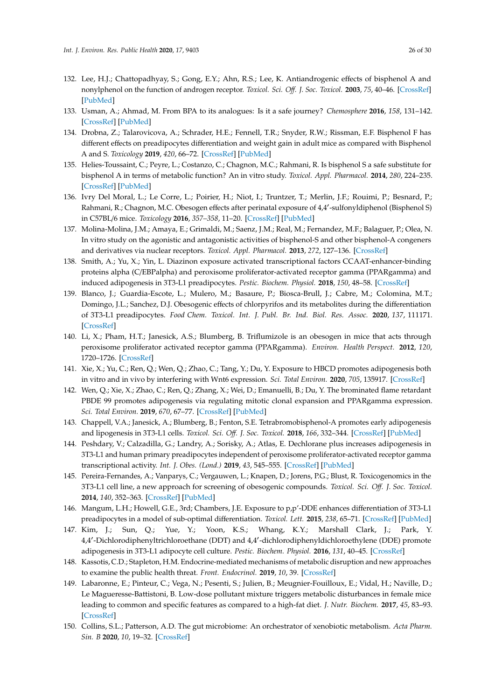- <span id="page-25-22"></span><span id="page-25-0"></span>132. Lee, H.J.; Chattopadhyay, S.; Gong, E.Y.; Ahn, R.S.; Lee, K. Antiandrogenic effects of bisphenol A and nonylphenol on the function of androgen receptor. *Toxicol. Sci. O*ff*. J. Soc. Toxicol.* **2003**, *75*, 40–46. [\[CrossRef\]](http://dx.doi.org/10.1093/toxsci/kfg150) [\[PubMed\]](http://www.ncbi.nlm.nih.gov/pubmed/12805653)
- <span id="page-25-1"></span>133. Usman, A.; Ahmad, M. From BPA to its analogues: Is it a safe journey? *Chemosphere* **2016**, *158*, 131–142. [\[CrossRef\]](http://dx.doi.org/10.1016/j.chemosphere.2016.05.070) [\[PubMed\]](http://www.ncbi.nlm.nih.gov/pubmed/27262103)
- <span id="page-25-2"></span>134. Drobna, Z.; Talarovicova, A.; Schrader, H.E.; Fennell, T.R.; Snyder, R.W.; Rissman, E.F. Bisphenol F has different effects on preadipocytes differentiation and weight gain in adult mice as compared with Bisphenol A and S. *Toxicology* **2019**, *420*, 66–72. [\[CrossRef\]](http://dx.doi.org/10.1016/j.tox.2019.03.016) [\[PubMed\]](http://www.ncbi.nlm.nih.gov/pubmed/30959087)
- <span id="page-25-3"></span>135. Helies-Toussaint, C.; Peyre, L.; Costanzo, C.; Chagnon, M.C.; Rahmani, R. Is bisphenol S a safe substitute for bisphenol A in terms of metabolic function? An in vitro study. *Toxicol. Appl. Pharmacol.* **2014**, *280*, 224–235. [\[CrossRef\]](http://dx.doi.org/10.1016/j.taap.2014.07.025) [\[PubMed\]](http://www.ncbi.nlm.nih.gov/pubmed/25111128)
- <span id="page-25-20"></span><span id="page-25-4"></span>136. Ivry Del Moral, L.; Le Corre, L.; Poirier, H.; Niot, I.; Truntzer, T.; Merlin, J.F.; Rouimi, P.; Besnard, P.; Rahmani, R.; Chagnon, M.C. Obesogen effects after perinatal exposure of 4,4'-sulfonyldiphenol (Bisphenol S) in C57BL/6 mice. *Toxicology* **2016**, *357–358*, 11–20. [\[CrossRef\]](http://dx.doi.org/10.1016/j.tox.2016.05.023) [\[PubMed\]](http://www.ncbi.nlm.nih.gov/pubmed/27241191)
- <span id="page-25-5"></span>137. Molina-Molina, J.M.; Amaya, E.; Grimaldi, M.; Saenz, J.M.; Real, M.; Fernandez, M.F.; Balaguer, P.; Olea, N. In vitro study on the agonistic and antagonistic activities of bisphenol-S and other bisphenol-A congeners and derivatives via nuclear receptors. *Toxicol. Appl. Pharmacol.* **2013**, *272*, 127–136. [\[CrossRef\]](http://dx.doi.org/10.1016/j.taap.2013.05.015)
- <span id="page-25-6"></span>138. Smith, A.; Yu, X.; Yin, L. Diazinon exposure activated transcriptional factors CCAAT-enhancer-binding proteins alpha (C/EBPalpha) and peroxisome proliferator-activated receptor gamma (PPARgamma) and induced adipogenesis in 3T3-L1 preadipocytes. *Pestic. Biochem. Physiol.* **2018**, *150*, 48–58. [\[CrossRef\]](http://dx.doi.org/10.1016/j.pestbp.2018.07.003)
- <span id="page-25-18"></span><span id="page-25-7"></span>139. Blanco, J.; Guardia-Escote, L.; Mulero, M.; Basaure, P.; Biosca-Brull, J.; Cabre, M.; Colomina, M.T.; Domingo, J.L.; Sanchez, D.J. Obesogenic effects of chlorpyrifos and its metabolites during the differentiation of 3T3-L1 preadipocytes. *Food Chem. Toxicol. Int. J. Publ. Br. Ind. Biol. Res. Assoc.* **2020**, *137*, 111171. [\[CrossRef\]](http://dx.doi.org/10.1016/j.fct.2020.111171)
- <span id="page-25-21"></span><span id="page-25-19"></span><span id="page-25-8"></span>140. Li, X.; Pham, H.T.; Janesick, A.S.; Blumberg, B. Triflumizole is an obesogen in mice that acts through peroxisome proliferator activated receptor gamma (PPARgamma). *Environ. Health Perspect.* **2012**, *120*, 1720–1726. [\[CrossRef\]](http://dx.doi.org/10.1289/ehp.1205383)
- <span id="page-25-9"></span>141. Xie, X.; Yu, C.; Ren, Q.; Wen, Q.; Zhao, C.; Tang, Y.; Du, Y. Exposure to HBCD promotes adipogenesis both in vitro and in vivo by interfering with Wnt6 expression. *Sci. Total Environ.* **2020**, *705*, 135917. [\[CrossRef\]](http://dx.doi.org/10.1016/j.scitotenv.2019.135917)
- 142. Wen, Q.; Xie, X.; Zhao, C.; Ren, Q.; Zhang, X.; Wei, D.; Emanuelli, B.; Du, Y. The brominated flame retardant PBDE 99 promotes adipogenesis via regulating mitotic clonal expansion and PPARgamma expression. *Sci. Total Environ.* **2019**, *670*, 67–77. [\[CrossRef\]](http://dx.doi.org/10.1016/j.scitotenv.2019.03.201) [\[PubMed\]](http://www.ncbi.nlm.nih.gov/pubmed/30903904)
- <span id="page-25-14"></span>143. Chappell, V.A.; Janesick, A.; Blumberg, B.; Fenton, S.E. Tetrabromobisphenol-A promotes early adipogenesis and lipogenesis in 3T3-L1 cells. *Toxicol. Sci. O*ff*. J. Soc. Toxicol.* **2018**, *166*, 332–344. [\[CrossRef\]](http://dx.doi.org/10.1093/toxsci/kfy209) [\[PubMed\]](http://www.ncbi.nlm.nih.gov/pubmed/30496566)
- <span id="page-25-10"></span>144. Peshdary, V.; Calzadilla, G.; Landry, A.; Sorisky, A.; Atlas, E. Dechlorane plus increases adipogenesis in 3T3-L1 and human primary preadipocytes independent of peroxisome proliferator-activated receptor gamma transcriptional activity. *Int. J. Obes. (Lond.)* **2019**, *43*, 545–555. [\[CrossRef\]](http://dx.doi.org/10.1038/s41366-018-0072-7) [\[PubMed\]](http://www.ncbi.nlm.nih.gov/pubmed/29717277)
- <span id="page-25-11"></span>145. Pereira-Fernandes, A.; Vanparys, C.; Vergauwen, L.; Knapen, D.; Jorens, P.G.; Blust, R. Toxicogenomics in the 3T3-L1 cell line, a new approach for screening of obesogenic compounds. *Toxicol. Sci. O*ff*. J. Soc. Toxicol.* **2014**, *140*, 352–363. [\[CrossRef\]](http://dx.doi.org/10.1093/toxsci/kfu092) [\[PubMed\]](http://www.ncbi.nlm.nih.gov/pubmed/24848799)
- <span id="page-25-12"></span>146. Mangum, L.H.; Howell, G.E., 3rd; Chambers, J.E. Exposure to p,p'-DDE enhances differentiation of 3T3-L1 preadipocytes in a model of sub-optimal differentiation. *Toxicol. Lett.* **2015**, *238*, 65–71. [\[CrossRef\]](http://dx.doi.org/10.1016/j.toxlet.2015.07.009) [\[PubMed\]](http://www.ncbi.nlm.nih.gov/pubmed/26200599)
- <span id="page-25-13"></span>147. Kim, J.; Sun, Q.; Yue, Y.; Yoon, K.S.; Whang, K.Y.; Marshall Clark, J.; Park, Y. 4,4'-Dichlorodiphenyltrichloroethane (DDT) and 4,4'-dichlorodiphenyldichloroethylene (DDE) promote adipogenesis in 3T3-L1 adipocyte cell culture. *Pestic. Biochem. Physiol.* **2016**, *131*, 40–45. [\[CrossRef\]](http://dx.doi.org/10.1016/j.pestbp.2016.01.005)
- <span id="page-25-15"></span>148. Kassotis, C.D.; Stapleton, H.M. Endocrine-mediated mechanisms of metabolic disruption and new approaches to examine the public health threat. *Front. Endocrinol.* **2019**, *10*, 39. [\[CrossRef\]](http://dx.doi.org/10.3389/fendo.2019.00039)
- <span id="page-25-16"></span>149. Labaronne, E.; Pinteur, C.; Vega, N.; Pesenti, S.; Julien, B.; Meugnier-Fouilloux, E.; Vidal, H.; Naville, D.; Le Magueresse-Battistoni, B. Low-dose pollutant mixture triggers metabolic disturbances in female mice leading to common and specific features as compared to a high-fat diet. *J. Nutr. Biochem.* **2017**, *45*, 83–93. [\[CrossRef\]](http://dx.doi.org/10.1016/j.jnutbio.2017.04.001)
- <span id="page-25-17"></span>150. Collins, S.L.; Patterson, A.D. The gut microbiome: An orchestrator of xenobiotic metabolism. *Acta Pharm. Sin. B* **2020**, *10*, 19–32. [\[CrossRef\]](http://dx.doi.org/10.1016/j.apsb.2019.12.001)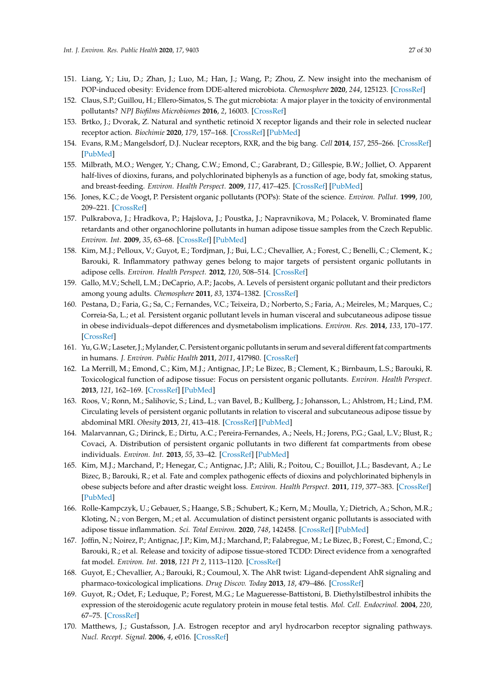- <span id="page-26-18"></span><span id="page-26-17"></span>151. Liang, Y.; Liu, D.; Zhan, J.; Luo, M.; Han, J.; Wang, P.; Zhou, Z. New insight into the mechanism of POP-induced obesity: Evidence from DDE-altered microbiota. *Chemosphere* **2020**, *244*, 125123. [\[CrossRef\]](http://dx.doi.org/10.1016/j.chemosphere.2019.125123)
- <span id="page-26-0"></span>152. Claus, S.P.; Guillou, H.; Ellero-Simatos, S. The gut microbiota: A major player in the toxicity of environmental pollutants? *NPJ Biofilms Microbiomes* **2016**, *2*, 16003. [\[CrossRef\]](http://dx.doi.org/10.1038/npjbiofilms.2016.3)
- <span id="page-26-1"></span>153. Brtko, J.; Dvorak, Z. Natural and synthetic retinoid X receptor ligands and their role in selected nuclear receptor action. *Biochimie* **2020**, *179*, 157–168. [\[CrossRef\]](http://dx.doi.org/10.1016/j.biochi.2020.09.027) [\[PubMed\]](http://www.ncbi.nlm.nih.gov/pubmed/33011201)
- <span id="page-26-2"></span>154. Evans, R.M.; Mangelsdorf, D.J. Nuclear receptors, RXR, and the big bang. *Cell* **2014**, *157*, 255–266. [\[CrossRef\]](http://dx.doi.org/10.1016/j.cell.2014.03.012) [\[PubMed\]](http://www.ncbi.nlm.nih.gov/pubmed/24679540)
- <span id="page-26-3"></span>155. Milbrath, M.O.; Wenger, Y.; Chang, C.W.; Emond, C.; Garabrant, D.; Gillespie, B.W.; Jolliet, O. Apparent half-lives of dioxins, furans, and polychlorinated biphenyls as a function of age, body fat, smoking status, and breast-feeding. *Environ. Health Perspect.* **2009**, *117*, 417–425. [\[CrossRef\]](http://dx.doi.org/10.1289/ehp.11781) [\[PubMed\]](http://www.ncbi.nlm.nih.gov/pubmed/19337517)
- <span id="page-26-4"></span>156. Jones, K.C.; de Voogt, P. Persistent organic pollutants (POPs): State of the science. *Environ. Pollut.* **1999**, *100*, 209–221. [\[CrossRef\]](http://dx.doi.org/10.1016/S0269-7491(99)00098-6)
- <span id="page-26-5"></span>157. Pulkrabova, J.; Hradkova, P.; Hajslova, J.; Poustka, J.; Napravnikova, M.; Polacek, V. Brominated flame retardants and other organochlorine pollutants in human adipose tissue samples from the Czech Republic. *Environ. Int.* **2009**, *35*, 63–68. [\[CrossRef\]](http://dx.doi.org/10.1016/j.envint.2008.08.001) [\[PubMed\]](http://www.ncbi.nlm.nih.gov/pubmed/18789823)
- <span id="page-26-6"></span>158. Kim, M.J.; Pelloux, V.; Guyot, E.; Tordjman, J.; Bui, L.C.; Chevallier, A.; Forest, C.; Benelli, C.; Clement, K.; Barouki, R. Inflammatory pathway genes belong to major targets of persistent organic pollutants in adipose cells. *Environ. Health Perspect.* **2012**, *120*, 508–514. [\[CrossRef\]](http://dx.doi.org/10.1289/ehp.1104282)
- <span id="page-26-7"></span>159. Gallo, M.V.; Schell, L.M.; DeCaprio, A.P.; Jacobs, A. Levels of persistent organic pollutant and their predictors among young adults. *Chemosphere* **2011**, *83*, 1374–1382. [\[CrossRef\]](http://dx.doi.org/10.1016/j.chemosphere.2011.02.071)
- <span id="page-26-8"></span>160. Pestana, D.; Faria, G.; Sa, C.; Fernandes, V.C.; Teixeira, D.; Norberto, S.; Faria, A.; Meireles, M.; Marques, C.; Correia-Sa, L.; et al. Persistent organic pollutant levels in human visceral and subcutaneous adipose tissue in obese individuals–depot differences and dysmetabolism implications. *Environ. Res.* **2014**, *133*, 170–177. [\[CrossRef\]](http://dx.doi.org/10.1016/j.envres.2014.05.026)
- <span id="page-26-9"></span>161. Yu, G.W.; Laseter, J.; Mylander, C. Persistent organic pollutants in serum and several different fat compartments in humans. *J. Environ. Public Health* **2011**, *2011*, 417980. [\[CrossRef\]](http://dx.doi.org/10.1155/2011/417980)
- 162. La Merrill, M.; Emond, C.; Kim, M.J.; Antignac, J.P.; Le Bizec, B.; Clement, K.; Birnbaum, L.S.; Barouki, R. Toxicological function of adipose tissue: Focus on persistent organic pollutants. *Environ. Health Perspect.* **2013**, *121*, 162–169. [\[CrossRef\]](http://dx.doi.org/10.1289/ehp.1205485) [\[PubMed\]](http://www.ncbi.nlm.nih.gov/pubmed/23221922)
- <span id="page-26-10"></span>163. Roos, V.; Ronn, M.; Salihovic, S.; Lind, L.; van Bavel, B.; Kullberg, J.; Johansson, L.; Ahlstrom, H.; Lind, P.M. Circulating levels of persistent organic pollutants in relation to visceral and subcutaneous adipose tissue by abdominal MRI. *Obesity* **2013**, *21*, 413–418. [\[CrossRef\]](http://dx.doi.org/10.1002/oby.20267) [\[PubMed\]](http://www.ncbi.nlm.nih.gov/pubmed/23532994)
- <span id="page-26-11"></span>164. Malarvannan, G.; Dirinck, E.; Dirtu, A.C.; Pereira-Fernandes, A.; Neels, H.; Jorens, P.G.; Gaal, L.V.; Blust, R.; Covaci, A. Distribution of persistent organic pollutants in two different fat compartments from obese individuals. *Environ. Int.* **2013**, *55*, 33–42. [\[CrossRef\]](http://dx.doi.org/10.1016/j.envint.2013.02.012) [\[PubMed\]](http://www.ncbi.nlm.nih.gov/pubmed/23518385)
- <span id="page-26-13"></span>165. Kim, M.J.; Marchand, P.; Henegar, C.; Antignac, J.P.; Alili, R.; Poitou, C.; Bouillot, J.L.; Basdevant, A.; Le Bizec, B.; Barouki, R.; et al. Fate and complex pathogenic effects of dioxins and polychlorinated biphenyls in obese subjects before and after drastic weight loss. *Environ. Health Perspect.* **2011**, *119*, 377–383. [\[CrossRef\]](http://dx.doi.org/10.1289/ehp.1002848) [\[PubMed\]](http://www.ncbi.nlm.nih.gov/pubmed/21156398)
- <span id="page-26-12"></span>166. Rolle-Kampczyk, U.; Gebauer, S.; Haange, S.B.; Schubert, K.; Kern, M.; Moulla, Y.; Dietrich, A.; Schon, M.R.; Kloting, N.; von Bergen, M.; et al. Accumulation of distinct persistent organic pollutants is associated with adipose tissue inflammation. *Sci. Total Environ.* **2020**, *748*, 142458. [\[CrossRef\]](http://dx.doi.org/10.1016/j.scitotenv.2020.142458) [\[PubMed\]](http://www.ncbi.nlm.nih.gov/pubmed/33113674)
- <span id="page-26-14"></span>167. Joffin, N.; Noirez, P.; Antignac, J.P.; Kim, M.J.; Marchand, P.; Falabregue, M.; Le Bizec, B.; Forest, C.; Emond, C.; Barouki, R.; et al. Release and toxicity of adipose tissue-stored TCDD: Direct evidence from a xenografted fat model. *Environ. Int.* **2018**, *121 Pt 2*, 1113–1120. [\[CrossRef\]](http://dx.doi.org/10.1016/j.envint.2018.10.027)
- <span id="page-26-15"></span>168. Guyot, E.; Chevallier, A.; Barouki, R.; Coumoul, X. The AhR twist: Ligand-dependent AhR signaling and pharmaco-toxicological implications. *Drug Discov. Today* **2013**, *18*, 479–486. [\[CrossRef\]](http://dx.doi.org/10.1016/j.drudis.2012.11.014)
- 169. Guyot, R.; Odet, F.; Leduque, P.; Forest, M.G.; Le Magueresse-Battistoni, B. Diethylstilbestrol inhibits the expression of the steroidogenic acute regulatory protein in mouse fetal testis. *Mol. Cell. Endocrinol.* **2004**, *220*, 67–75. [\[CrossRef\]](http://dx.doi.org/10.1016/j.mce.2004.03.008)
- <span id="page-26-16"></span>170. Matthews, J.; Gustafsson, J.A. Estrogen receptor and aryl hydrocarbon receptor signaling pathways. *Nucl. Recept. Signal.* **2006**, *4*, e016. [\[CrossRef\]](http://dx.doi.org/10.1621/nrs.04016)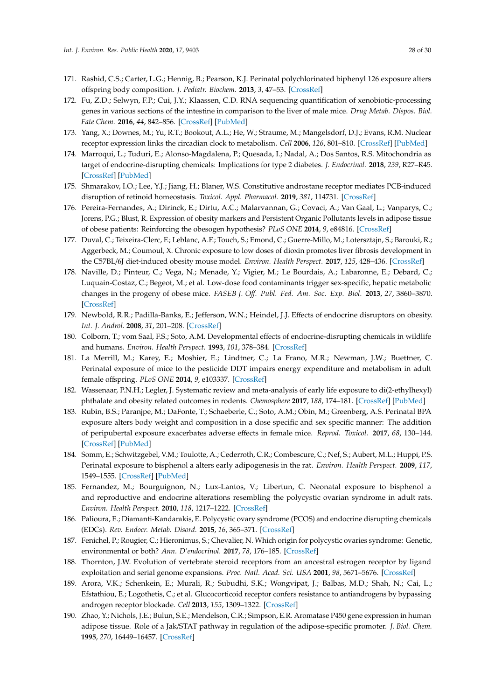- <span id="page-27-0"></span>171. Rashid, C.S.; Carter, L.G.; Hennig, B.; Pearson, K.J. Perinatal polychlorinated biphenyl 126 exposure alters offspring body composition. *J. Pediatr. Biochem.* **2013**, *3*, 47–53. [\[CrossRef\]](http://dx.doi.org/10.1055/s-0036-1586427)
- <span id="page-27-1"></span>172. Fu, Z.D.; Selwyn, F.P.; Cui, J.Y.; Klaassen, C.D. RNA sequencing quantification of xenobiotic-processing genes in various sections of the intestine in comparison to the liver of male mice. *Drug Metab. Dispos. Biol. Fate Chem.* **2016**, *44*, 842–856. [\[CrossRef\]](http://dx.doi.org/10.1124/dmd.115.068270) [\[PubMed\]](http://www.ncbi.nlm.nih.gov/pubmed/27048750)
- <span id="page-27-2"></span>173. Yang, X.; Downes, M.; Yu, R.T.; Bookout, A.L.; He, W.; Straume, M.; Mangelsdorf, D.J.; Evans, R.M. Nuclear receptor expression links the circadian clock to metabolism. *Cell* **2006**, *126*, 801–810. [\[CrossRef\]](http://dx.doi.org/10.1016/j.cell.2006.06.050) [\[PubMed\]](http://www.ncbi.nlm.nih.gov/pubmed/16923398)
- <span id="page-27-3"></span>174. Marroqui, L.; Tuduri, E.; Alonso-Magdalena, P.; Quesada, I.; Nadal, A.; Dos Santos, R.S. Mitochondria as target of endocrine-disrupting chemicals: Implications for type 2 diabetes. *J. Endocrinol.* **2018**, *239*, R27–R45. [\[CrossRef\]](http://dx.doi.org/10.1530/JOE-18-0362) [\[PubMed\]](http://www.ncbi.nlm.nih.gov/pubmed/30072426)
- <span id="page-27-4"></span>175. Shmarakov, I.O.; Lee, Y.J.; Jiang, H.; Blaner, W.S. Constitutive androstane receptor mediates PCB-induced disruption of retinoid homeostasis. *Toxicol. Appl. Pharmacol.* **2019**, *381*, 114731. [\[CrossRef\]](http://dx.doi.org/10.1016/j.taap.2019.114731)
- <span id="page-27-20"></span><span id="page-27-5"></span>176. Pereira-Fernandes, A.; Dirinck, E.; Dirtu, A.C.; Malarvannan, G.; Covaci, A.; Van Gaal, L.; Vanparys, C.; Jorens, P.G.; Blust, R. Expression of obesity markers and Persistent Organic Pollutants levels in adipose tissue of obese patients: Reinforcing the obesogen hypothesis? *PLoS ONE* **2014**, *9*, e84816. [\[CrossRef\]](http://dx.doi.org/10.1371/journal.pone.0084816)
- <span id="page-27-6"></span>177. Duval, C.; Teixeira-Clerc, F.; Leblanc, A.F.; Touch, S.; Emond, C.; Guerre-Millo, M.; Lotersztajn, S.; Barouki, R.; Aggerbeck, M.; Coumoul, X. Chronic exposure to low doses of dioxin promotes liver fibrosis development in the C57BL/6J diet-induced obesity mouse model. *Environ. Health Perspect.* **2017**, *125*, 428–436. [\[CrossRef\]](http://dx.doi.org/10.1289/EHP316)
- <span id="page-27-7"></span>178. Naville, D.; Pinteur, C.; Vega, N.; Menade, Y.; Vigier, M.; Le Bourdais, A.; Labaronne, E.; Debard, C.; Luquain-Costaz, C.; Begeot, M.; et al. Low-dose food contaminants trigger sex-specific, hepatic metabolic changes in the progeny of obese mice. *FASEB J. O*ff*. Publ. Fed. Am. Soc. Exp. Biol.* **2013**, *27*, 3860–3870. [\[CrossRef\]](http://dx.doi.org/10.1096/fj.13-231670)
- <span id="page-27-8"></span>179. Newbold, R.R.; Padilla-Banks, E.; Jefferson, W.N.; Heindel, J.J. Effects of endocrine disruptors on obesity. *Int. J. Androl.* **2008**, *31*, 201–208. [\[CrossRef\]](http://dx.doi.org/10.1111/j.1365-2605.2007.00858.x)
- <span id="page-27-21"></span><span id="page-27-9"></span>180. Colborn, T.; vom Saal, F.S.; Soto, A.M. Developmental effects of endocrine-disrupting chemicals in wildlife and humans. *Environ. Health Perspect.* **1993**, *101*, 378–384. [\[CrossRef\]](http://dx.doi.org/10.1289/ehp.93101378)
- <span id="page-27-10"></span>181. La Merrill, M.; Karey, E.; Moshier, E.; Lindtner, C.; La Frano, M.R.; Newman, J.W.; Buettner, C. Perinatal exposure of mice to the pesticide DDT impairs energy expenditure and metabolism in adult female offspring. *PLoS ONE* **2014**, *9*, e103337. [\[CrossRef\]](http://dx.doi.org/10.1371/journal.pone.0103337)
- <span id="page-27-11"></span>182. Wassenaar, P.N.H.; Legler, J. Systematic review and meta-analysis of early life exposure to di(2-ethylhexyl) phthalate and obesity related outcomes in rodents. *Chemosphere* **2017**, *188*, 174–181. [\[CrossRef\]](http://dx.doi.org/10.1016/j.chemosphere.2017.08.165) [\[PubMed\]](http://www.ncbi.nlm.nih.gov/pubmed/28886551)
- <span id="page-27-12"></span>183. Rubin, B.S.; Paranjpe, M.; DaFonte, T.; Schaeberle, C.; Soto, A.M.; Obin, M.; Greenberg, A.S. Perinatal BPA exposure alters body weight and composition in a dose specific and sex specific manner: The addition of peripubertal exposure exacerbates adverse effects in female mice. *Reprod. Toxicol.* **2017**, *68*, 130–144. [\[CrossRef\]](http://dx.doi.org/10.1016/j.reprotox.2016.07.020) [\[PubMed\]](http://www.ncbi.nlm.nih.gov/pubmed/27496714)
- <span id="page-27-13"></span>184. Somm, E.; Schwitzgebel, V.M.; Toulotte, A.; Cederroth, C.R.; Combescure, C.; Nef, S.; Aubert, M.L.; Huppi, P.S. Perinatal exposure to bisphenol a alters early adipogenesis in the rat. *Environ. Health Perspect.* **2009**, *117*, 1549–1555. [\[CrossRef\]](http://dx.doi.org/10.1289/ehp.11342) [\[PubMed\]](http://www.ncbi.nlm.nih.gov/pubmed/20019905)
- <span id="page-27-14"></span>185. Fernandez, M.; Bourguignon, N.; Lux-Lantos, V.; Libertun, C. Neonatal exposure to bisphenol a and reproductive and endocrine alterations resembling the polycystic ovarian syndrome in adult rats. *Environ. Health Perspect.* **2010**, *118*, 1217–1222. [\[CrossRef\]](http://dx.doi.org/10.1289/ehp.0901257)
- <span id="page-27-15"></span>186. Palioura, E.; Diamanti-Kandarakis, E. Polycystic ovary syndrome (PCOS) and endocrine disrupting chemicals (EDCs). *Rev. Endocr. Metab. Disord.* **2015**, *16*, 365–371. [\[CrossRef\]](http://dx.doi.org/10.1007/s11154-016-9326-7)
- <span id="page-27-16"></span>187. Fenichel, P.; Rougier, C.; Hieronimus, S.; Chevalier, N. Which origin for polycystic ovaries syndrome: Genetic, environmental or both? *Ann. D'endocrinol.* **2017**, *78*, 176–185. [\[CrossRef\]](http://dx.doi.org/10.1016/j.ando.2017.04.024)
- <span id="page-27-17"></span>188. Thornton, J.W. Evolution of vertebrate steroid receptors from an ancestral estrogen receptor by ligand exploitation and serial genome expansions. *Proc. Natl. Acad. Sci. USA* **2001**, *98*, 5671–5676. [\[CrossRef\]](http://dx.doi.org/10.1073/pnas.091553298)
- <span id="page-27-18"></span>189. Arora, V.K.; Schenkein, E.; Murali, R.; Subudhi, S.K.; Wongvipat, J.; Balbas, M.D.; Shah, N.; Cai, L.; Efstathiou, E.; Logothetis, C.; et al. Glucocorticoid receptor confers resistance to antiandrogens by bypassing androgen receptor blockade. *Cell* **2013**, *155*, 1309–1322. [\[CrossRef\]](http://dx.doi.org/10.1016/j.cell.2013.11.012)
- <span id="page-27-19"></span>190. Zhao, Y.; Nichols, J.E.; Bulun, S.E.; Mendelson, C.R.; Simpson, E.R. Aromatase P450 gene expression in human adipose tissue. Role of a Jak/STAT pathway in regulation of the adipose-specific promoter. *J. Biol. Chem.* **1995**, *270*, 16449–16457. [\[CrossRef\]](http://dx.doi.org/10.1074/jbc.270.27.16449)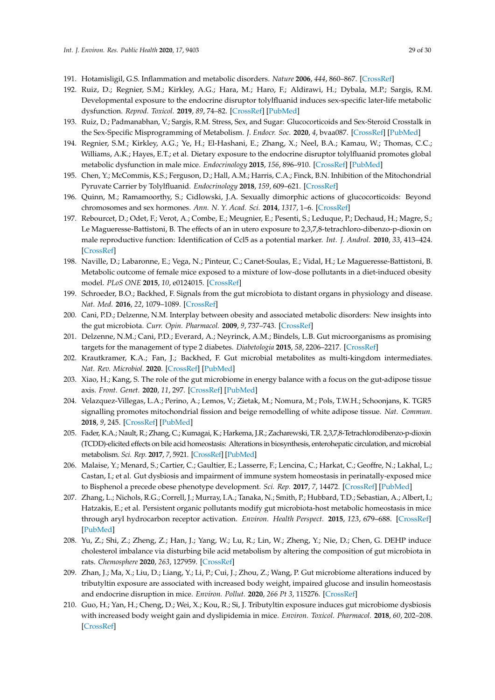- <span id="page-28-17"></span><span id="page-28-16"></span><span id="page-28-0"></span>191. Hotamisligil, G.S. Inflammation and metabolic disorders. *Nature* **2006**, *444*, 860–867. [\[CrossRef\]](http://dx.doi.org/10.1038/nature05485)
- <span id="page-28-1"></span>192. Ruiz, D.; Regnier, S.M.; Kirkley, A.G.; Hara, M.; Haro, F.; Aldirawi, H.; Dybala, M.P.; Sargis, R.M. Developmental exposure to the endocrine disruptor tolylfluanid induces sex-specific later-life metabolic dysfunction. *Reprod. Toxicol.* **2019**, *89*, 74–82. [\[CrossRef\]](http://dx.doi.org/10.1016/j.reprotox.2019.06.010) [\[PubMed\]](http://www.ncbi.nlm.nih.gov/pubmed/31260803)
- <span id="page-28-2"></span>193. Ruiz, D.; Padmanabhan, V.; Sargis, R.M. Stress, Sex, and Sugar: Glucocorticoids and Sex-Steroid Crosstalk in the Sex-Specific Misprogramming of Metabolism. *J. Endocr. Soc.* **2020**, *4*, bvaa087. [\[CrossRef\]](http://dx.doi.org/10.1210/jendso/bvaa087) [\[PubMed\]](http://www.ncbi.nlm.nih.gov/pubmed/32734132)
- <span id="page-28-3"></span>194. Regnier, S.M.; Kirkley, A.G.; Ye, H.; El-Hashani, E.; Zhang, X.; Neel, B.A.; Kamau, W.; Thomas, C.C.; Williams, A.K.; Hayes, E.T.; et al. Dietary exposure to the endocrine disruptor tolylfluanid promotes global metabolic dysfunction in male mice. *Endocrinology* **2015**, *156*, 896–910. [\[CrossRef\]](http://dx.doi.org/10.1210/en.2014-1668) [\[PubMed\]](http://www.ncbi.nlm.nih.gov/pubmed/25535829)
- <span id="page-28-4"></span>195. Chen, Y.; McCommis, K.S.; Ferguson, D.; Hall, A.M.; Harris, C.A.; Finck, B.N. Inhibition of the Mitochondrial Pyruvate Carrier by Tolylfluanid. *Endocrinology* **2018**, *159*, 609–621. [\[CrossRef\]](http://dx.doi.org/10.1210/en.2017-00695)
- <span id="page-28-5"></span>196. Quinn, M.; Ramamoorthy, S.; Cidlowski, J.A. Sexually dimorphic actions of glucocorticoids: Beyond chromosomes and sex hormones. *Ann. N. Y. Acad. Sci.* **2014**, *1317*, 1–6. [\[CrossRef\]](http://dx.doi.org/10.1111/nyas.12425)
- <span id="page-28-14"></span><span id="page-28-6"></span>197. Rebourcet, D.; Odet, F.; Verot, A.; Combe, E.; Meugnier, E.; Pesenti, S.; Leduque, P.; Dechaud, H.; Magre, S.; Le Magueresse-Battistoni, B. The effects of an in utero exposure to 2,3,7,8-tetrachloro-dibenzo-p-dioxin on male reproductive function: Identification of Ccl5 as a potential marker. *Int. J. Androl.* **2010**, *33*, 413–424. [\[CrossRef\]](http://dx.doi.org/10.1111/j.1365-2605.2009.01020.x)
- <span id="page-28-19"></span><span id="page-28-7"></span>198. Naville, D.; Labaronne, E.; Vega, N.; Pinteur, C.; Canet-Soulas, E.; Vidal, H.; Le Magueresse-Battistoni, B. Metabolic outcome of female mice exposed to a mixture of low-dose pollutants in a diet-induced obesity model. *PLoS ONE* **2015**, *10*, e0124015. [\[CrossRef\]](http://dx.doi.org/10.1371/journal.pone.0124015)
- <span id="page-28-8"></span>199. Schroeder, B.O.; Backhed, F. Signals from the gut microbiota to distant organs in physiology and disease. *Nat. Med.* **2016**, *22*, 1079–1089. [\[CrossRef\]](http://dx.doi.org/10.1038/nm.4185)
- <span id="page-28-9"></span>200. Cani, P.D.; Delzenne, N.M. Interplay between obesity and associated metabolic disorders: New insights into the gut microbiota. *Curr. Opin. Pharmacol.* **2009**, *9*, 737–743. [\[CrossRef\]](http://dx.doi.org/10.1016/j.coph.2009.06.016)
- <span id="page-28-18"></span><span id="page-28-10"></span>201. Delzenne, N.M.; Cani, P.D.; Everard, A.; Neyrinck, A.M.; Bindels, L.B. Gut microorganisms as promising targets for the management of type 2 diabetes. *Diabetologia* **2015**, *58*, 2206–2217. [\[CrossRef\]](http://dx.doi.org/10.1007/s00125-015-3712-7)
- <span id="page-28-15"></span><span id="page-28-11"></span>202. Krautkramer, K.A.; Fan, J.; Backhed, F. Gut microbial metabolites as multi-kingdom intermediates. *Nat. Rev. Microbiol.* **2020**. [\[CrossRef\]](http://dx.doi.org/10.1038/s41579-020-0438-4) [\[PubMed\]](http://www.ncbi.nlm.nih.gov/pubmed/32968241)
- <span id="page-28-12"></span>203. Xiao, H.; Kang, S. The role of the gut microbiome in energy balance with a focus on the gut-adipose tissue axis. *Front. Genet.* **2020**, *11*, 297. [\[CrossRef\]](http://dx.doi.org/10.3389/fgene.2020.00297) [\[PubMed\]](http://www.ncbi.nlm.nih.gov/pubmed/32318095)
- <span id="page-28-13"></span>204. Velazquez-Villegas, L.A.; Perino, A.; Lemos, V.; Zietak, M.; Nomura, M.; Pols, T.W.H.; Schoonjans, K. TGR5 signalling promotes mitochondrial fission and beige remodelling of white adipose tissue. *Nat. Commun.* **2018**, *9*, 245. [\[CrossRef\]](http://dx.doi.org/10.1038/s41467-017-02068-0) [\[PubMed\]](http://www.ncbi.nlm.nih.gov/pubmed/29339725)
- <span id="page-28-20"></span>205. Fader, K.A.; Nault, R.; Zhang, C.; Kumagai, K.; Harkema, J.R.; Zacharewski, T.R. 2,3,7,8-Tetrachlorodibenzo-p-dioxin (TCDD)-elicited effects on bile acid homeostasis: Alterations in biosynthesis, enterohepatic circulation, and microbial metabolism. *Sci. Rep.* **2017**, *7*, 5921. [\[CrossRef\]](http://dx.doi.org/10.1038/s41598-017-05656-8) [\[PubMed\]](http://www.ncbi.nlm.nih.gov/pubmed/28725001)
- <span id="page-28-23"></span>206. Malaise, Y.; Menard, S.; Cartier, C.; Gaultier, E.; Lasserre, F.; Lencina, C.; Harkat, C.; Geoffre, N.; Lakhal, L.; Castan, I.; et al. Gut dysbiosis and impairment of immune system homeostasis in perinatally-exposed mice to Bisphenol a precede obese phenotype development. *Sci. Rep.* **2017**, *7*, 14472. [\[CrossRef\]](http://dx.doi.org/10.1038/s41598-017-15196-w) [\[PubMed\]](http://www.ncbi.nlm.nih.gov/pubmed/29101397)
- <span id="page-28-22"></span>207. Zhang, L.; Nichols, R.G.; Correll, J.; Murray, I.A.; Tanaka, N.; Smith, P.; Hubbard, T.D.; Sebastian, A.; Albert, I.; Hatzakis, E.; et al. Persistent organic pollutants modify gut microbiota-host metabolic homeostasis in mice through aryl hydrocarbon receptor activation. *Environ. Health Perspect.* **2015**, *123*, 679–688. [\[CrossRef\]](http://dx.doi.org/10.1289/ehp.1409055) [\[PubMed\]](http://www.ncbi.nlm.nih.gov/pubmed/25768209)
- <span id="page-28-24"></span>208. Yu, Z.; Shi, Z.; Zheng, Z.; Han, J.; Yang, W.; Lu, R.; Lin, W.; Zheng, Y.; Nie, D.; Chen, G. DEHP induce cholesterol imbalance via disturbing bile acid metabolism by altering the composition of gut microbiota in rats. *Chemosphere* **2020**, *263*, 127959. [\[CrossRef\]](http://dx.doi.org/10.1016/j.chemosphere.2020.127959)
- 209. Zhan, J.; Ma, X.; Liu, D.; Liang, Y.; Li, P.; Cui, J.; Zhou, Z.; Wang, P. Gut microbiome alterations induced by tributyltin exposure are associated with increased body weight, impaired glucose and insulin homeostasis and endocrine disruption in mice. *Environ. Pollut.* **2020**, *266 Pt 3*, 115276. [\[CrossRef\]](http://dx.doi.org/10.1016/j.envpol.2020.115276)
- <span id="page-28-21"></span>210. Guo, H.; Yan, H.; Cheng, D.; Wei, X.; Kou, R.; Si, J. Tributyltin exposure induces gut microbiome dysbiosis with increased body weight gain and dyslipidemia in mice. *Environ. Toxicol. Pharmacol.* **2018**, *60*, 202–208. [\[CrossRef\]](http://dx.doi.org/10.1016/j.etap.2018.04.020)